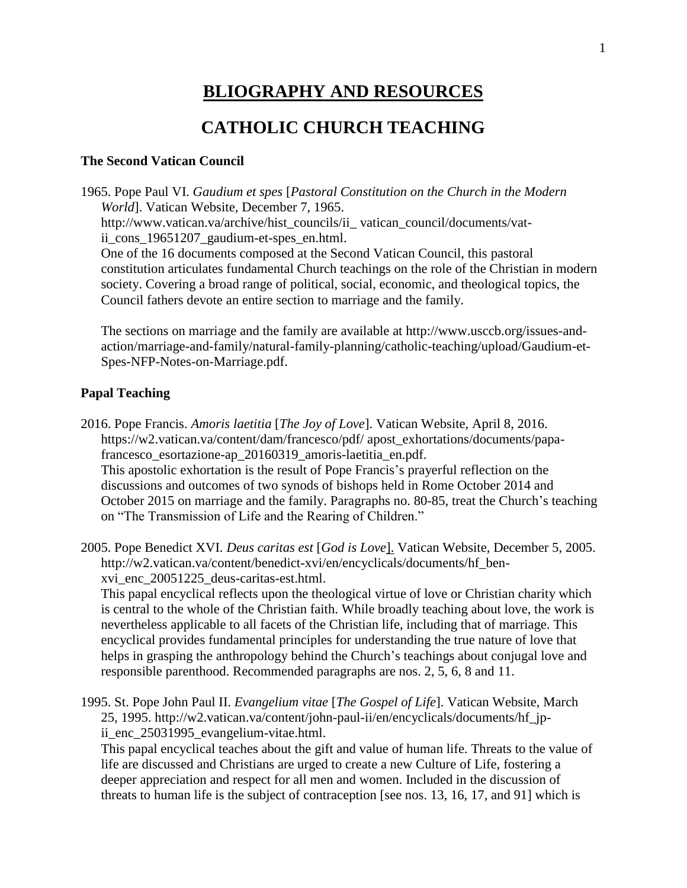# **BLIOGRAPHY AND RESOURCES**

# **CATHOLIC CHURCH TEACHING**

#### **The Second Vatican Council**

1965. Pope Paul VI. *Gaudium et spes* [*[Pastoral Constitution on the Church in the Modern](javascript:showDisclaimer()  [World](javascript:showDisclaimer()*]. Vatican Website, December 7, 1965. [http://www.vatican.va/archive/hist\\_councils/ii\\_](http://www.vatican.va/archive/hist_councils/ii_) vatican\_council/documents/vatii\_cons\_19651207\_gaudium-et-spes\_en.html. One of the 16 documents composed at the Second Vatican Council, this pastoral constitution articulates fundamental Church teachings on the role of the Christian in modern society. Covering a broad range of political, social, economic, and theological topics, the Council fathers devote an entire section to marriage and the family.

The sections on marriage and the family are available at http://www.usccb.org/issues-andaction/marriage-and-family/natural-family-planning/catholic-teaching/upload/Gaudium-et-Spes-NFP-Notes-on-Marriage.pdf.

#### **Papal Teaching**

2016. Pope Francis. *Amoris laetitia* [*[The Joy of Love](javascript:showDisclaimer()*]. Vatican Website, April 8, 2016. https://w2.vatican.va/content/dam/francesco/pdf/ apost\_exhortations/documents/papafrancesco\_esortazione-ap\_20160319\_amoris-laetitia\_en.pdf. This apostolic exhortation is the result of Pope Francis's prayerful reflection on the discussions and outcomes of two synods of bishops held in Rome October 2014 and October 2015 on marriage and the family. Paragraphs no. 80-85, treat the Church's teaching on "The Transmission of Life and the Rearing of Children."

2005. [Pope Benedict XVI.](javascript:showDisclaimer() *Deus caritas est* [*[God is Love](javascript:showDisclaimer()*]. Vatican Website, December 5, 2005. http://w2.vatican.va/content/benedict-xvi/en/encyclicals/documents/hf\_benxvi\_enc\_20051225\_deus-caritas-est.html.

This papal encyclical reflects upon the theological virtue of love or Christian charity which is central to the whole of the Christian faith. While broadly teaching about love, the work is nevertheless applicable to all facets of the Christian life, including that of marriage. This encyclical provides fundamental principles for understanding the true nature of love that helps in grasping the anthropology behind the Church's teachings about conjugal love and responsible parenthood. Recommended paragraphs are nos. 2, 5, 6, 8 and 11.

1995. St. Pope John Paul II. *Evangelium vitae* [*[The Gospel of Life](javascript:showDisclaimer()*]. Vatican Website, March 25, 1995. http://w2.vatican.va/content/john-paul-ii/en/encyclicals/documents/hf\_jpii\_enc\_25031995\_evangelium-vitae.html.

This papal encyclical teaches about the gift and value of human life. Threats to the value of life are discussed and Christians are urged to create a new Culture of Life, fostering a deeper appreciation and respect for all men and women. Included in the discussion of threats to human life is the subject of contraception [see nos. 13, 16, 17, and 91] which is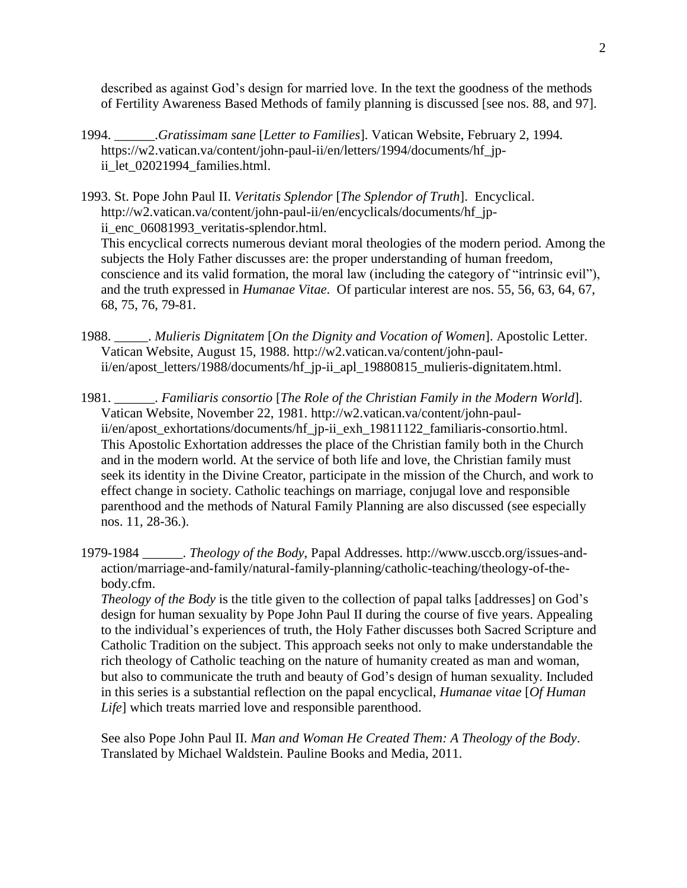described as against God's design for married love. In the text the goodness of the methods of Fertility Awareness Based Methods of family planning is discussed [see nos. 88, and 97].

- 1994. \_\_\_\_\_\_.*Gratissimam sane* [*Letter to Families*]. Vatican Website, February 2, 1994*.* [https://w2.vatican.va/content/john-paul-i](https://w2.vatican.va/content/john-paul-)i/en/letters/1994/documents/hf\_jpii\_let\_02021994\_families.html.
- 1993. St. Pope John Paul II. *Veritatis Splendor* [*The Splendor of Truth*]. Encyclical. http://w2.vatican.va/content/john-paul-ii/en/encyclicals/documents/hf\_jpii enc 06081993 veritatis-splendor.html. This encyclical corrects numerous deviant moral theologies of the modern period. Among the subjects the Holy Father discusses are: the proper understanding of human freedom, conscience and its valid formation, the moral law (including the category of "intrinsic evil"), and the truth expressed in *Humanae Vitae*. Of particular interest are nos. 55, 56, 63, 64, 67, 68, 75, 76, 79-81.
- 1988. \_\_\_\_\_. *Mulieris Dignitatem* [*On the Dignity and Vocation of Women*]. Apostolic Letter. Vatican Website, August 15, 1988. [http://w2.vatican.va/content/john-paul](http://w2.vatican.va/content/john-paul-ii/en/apost_letters/1988/documents/hf_jp-ii_apl_19880815_mulieris-dignitatem.html)[ii/en/apost\\_letters/1988/documents/hf\\_jp-ii\\_apl\\_19880815\\_mulieris-dignitatem.html.](http://w2.vatican.va/content/john-paul-ii/en/apost_letters/1988/documents/hf_jp-ii_apl_19880815_mulieris-dignitatem.html)
- 1981. \_\_\_\_\_\_. *Familiaris consortio* [*[The Role of the Christian Family in the Modern World](javascript:showDisclaimer()*]. Vatican Website, November 22, 1981. http://w2.vatican.va/content/john-paulii/en/apost exhortations/documents/hf\_jp-ii\_exh\_19811122\_familiaris-consortio.html. This Apostolic Exhortation addresses the place of the Christian family both in the Church and in the modern world. At the service of both life and love, the Christian family must seek its identity in the Divine Creator, participate in the mission of the Church, and work to effect change in society. Catholic teachings on marriage, conjugal love and responsible parenthood and the methods of Natural Family Planning are also discussed (see especially nos. 11, 28-36.).
- 1979-1984 \_\_\_\_\_\_. *[Theology of the Body](http://www.usccb.org/issues-and-action/marriage-and-family/natural-family-planning/catholic-teaching/theology-of-the-body.cfm)*, Papal Addresses. http://www.usccb.org/issues-andaction/marriage-and-family/natural-family-planning/catholic-teaching/theology-of-thebody.cfm.

*Theology of the Body* is the title given to the collection of papal talks [addresses] on God's design for human sexuality by Pope John Paul II during the course of five years. Appealing to the individual's experiences of truth, the Holy Father discusses both Sacred Scripture and Catholic Tradition on the subject. This approach seeks not only to make understandable the rich theology of Catholic teaching on the nature of humanity created as man and woman, but also to communicate the truth and beauty of God's design of human sexuality. Included in this series is a substantial reflection on the papal encyclical, *Humanae vitae* [*Of Human Life*] which treats married love and responsible parenthood.

See also Pope John Paul II. *Man and Woman He Created Them: A Theology of the Body*. Translated by Michael Waldstein. Pauline Books and Media, 2011.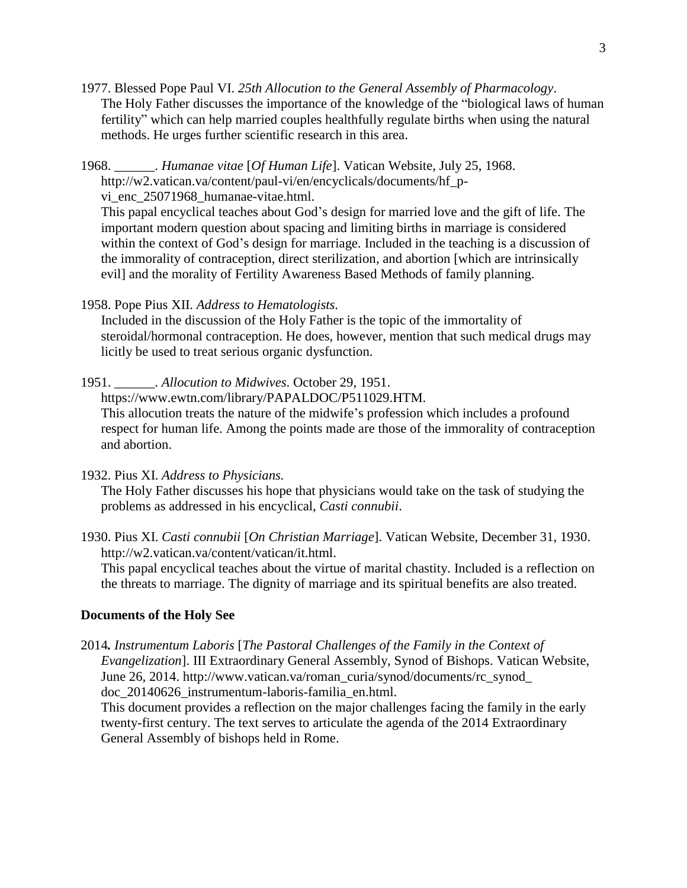- 1977. Blessed Pope Paul VI. *25th Allocution to the General Assembly of Pharmacology*. The Holy Father discusses the importance of the knowledge of the "biological laws of human fertility" which can help married couples healthfully regulate births when using the natural methods. He urges further scientific research in this area.
- 1968. \_\_\_\_\_\_. *[Humanae vitae](javascript:showDisclaimer()* [*Of Human Life*]. Vatican Website, July 25, 1968. http://w2.vatican.va/content/paul-vi/en/encyclicals/documents/hf\_pvi\_enc\_25071968\_humanae-vitae.html.

This papal encyclical teaches about God's design for married love and the gift of life. The important modern question about spacing and limiting births in marriage is considered within the context of God's design for marriage. Included in the teaching is a discussion of the immorality of contraception, direct sterilization, and abortion [which are intrinsically evil] and the morality of Fertility Awareness Based Methods of family planning.

1958. Pope Pius XII. *Address to Hematologists.*

Included in the discussion of the Holy Father is the topic of the immortality of steroidal/hormonal contraception. He does, however, mention that such medical drugs may licitly be used to treat serious organic dysfunction.

1951. \_\_\_\_\_\_. *Allocution to Midwives*. October 29, 1951. https://www.ewtn.com/library/PAPALDOC/P511029.HTM. This allocution treats the nature of the midwife's profession which includes a profound

respect for human life. Among the points made are those of the immorality of contraception and abortion.

1932. Pius XI. *Address to Physicians.*

The Holy Father discusses his hope that physicians would take on the task of studying the problems as addressed in his encyclical, *Casti connubii*.

1930. Pius XI. *Casti connubii* [*On [Christian Marriage](javascript:showDisclaimer()*]. Vatican Website, December 31, 1930. http://w2.vatican.va/content/vatican/it.html.

This papal encyclical teaches about the virtue of marital chastity. Included is a reflection on the threats to marriage. The dignity of marriage and its spiritual benefits are also treated.

#### **Documents of the Holy See**

2014*. Instrumentum Laboris* [*[The Pastoral Challenges of the Family in the Context of](javascript:showDisclaimer() [Evangelization](javascript:showDisclaimer()*]. III Extraordinary General Assembly, Synod of Bishops. Vatican Website, June 26, 2014. [http://www.vatican.va/roman\\_curia/synod/documents/r](http://www.vatican.va/roman_curia/synod/documents/)c\_synod\_ doc\_20140626\_instrumentum-laboris-familia\_en.html.

This document provides a reflection on the major challenges facing the family in the early twenty-first century. The text serves to articulate the agenda of the 2014 Extraordinary General Assembly of bishops held in Rome.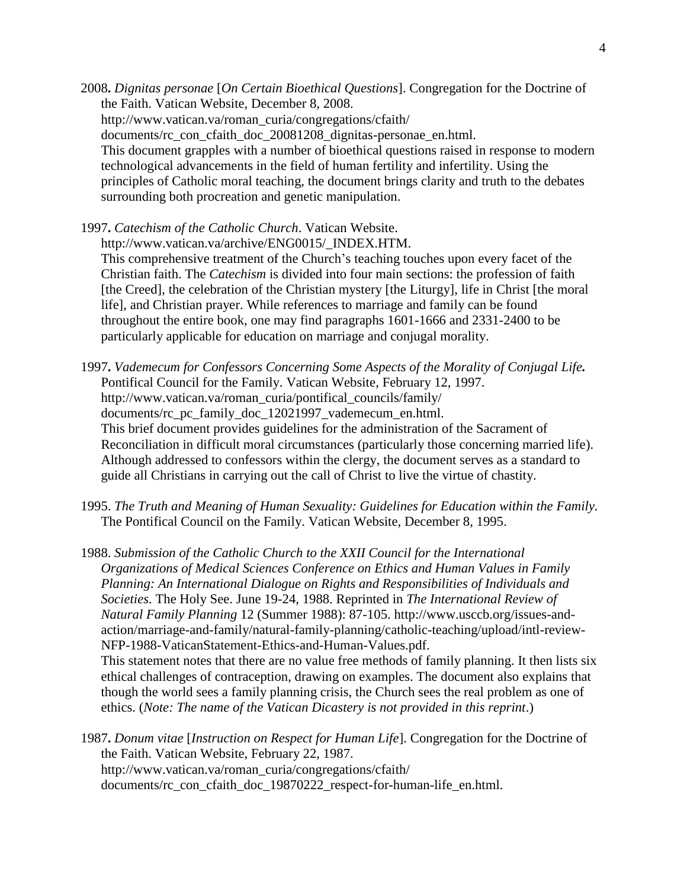2008**.** *Dignitas personae* [*[On Certain Bioethical Questions](javascript:showDisclaimer()*]. Congregation for the Doctrine of the Faith. Vatican Website, December 8, 2008. [http://www.vatican.va/roman\\_curia/congregations/cfaith/](http://www.vatican.va/roman_curia/congregations/cfaith/) documents/rc\_con\_cfaith\_doc\_20081208\_dignitas-personae\_en.html. This document grapples with a number of bioethical questions raised in response to modern technological advancements in the field of human fertility and infertility. Using the principles of Catholic moral teaching, the document brings clarity and truth to the debates surrounding both procreation and genetic manipulation.

1997**.** *[Catechism of the Catholic Church](javascript:showDisclaimer()*. Vatican Website. http://www.vatican.va/archive/ENG0015/\_INDEX.HTM. This comprehensive treatment of the Church's teaching touches upon every facet of the Christian faith. The *Catechism* is divided into four main sections: the profession of faith [the Creed], the celebration of the Christian mystery [the Liturgy], life in Christ [the moral life], and Christian prayer. While references to marriage and family can be found throughout the entire book, one may find paragraphs 1601-1666 and 2331-2400 to be particularly applicable for education on marriage and conjugal morality.

1997**.** *[Vademecum for Confessors Concerning Some Aspects of the Morality of Conjugal Life](javascript:showDisclaimer().* Pontifical Council for the Family. Vatican Website, February 12, 1997. [http://www.vatican.va/roman\\_curia/pontifical\\_councils/family/](http://www.vatican.va/roman_curia/pontifical_councils/family/) documents/rc\_pc\_family\_doc\_12021997\_vademecum\_en.html. This brief document provides guidelines for the administration of the Sacrament of Reconciliation in difficult moral circumstances (particularly those concerning married life). Although addressed to confessors within the clergy, the document serves as a standard to guide all Christians in carrying out the call of Christ to live the virtue of chastity.

1995. *The Truth and Meaning of Human Sexuality: Guidelines for Education within the Family.* The Pontifical Council on the Family. Vatican Website, December 8, 1995.

1988. *Submission of the Catholic Church to the XXII Council for the International Organizations of Medical Sciences Conference on Ethics and Human Values in Family Planning: An International Dialogue on Rights and Responsibilities of Individuals and Societies*. The Holy See. June 19-24, 1988. Reprinted in *The International Review of Natural Family Planning* 12 (Summer 1988): 87-105. http://www.usccb.org/issues-andaction/marriage-and-family/natural-family-planning/catholic-teaching/upload/intl-review-NFP-1988-VaticanStatement-Ethics-and-Human-Values.pdf.

This statement notes that there are no value free methods of family planning. It then lists six ethical challenges of contraception, drawing on examples. The document also explains that though the world sees a family planning crisis, the Church sees the real problem as one of ethics. (*Note: The name of the Vatican Dicastery is not provided in this reprint*.)

1987**.** *Donum vitae* [*[Instruction on Respect for Human Life](javascript:showDisclaimer()*]. Congregation for the Doctrine of the Faith. Vatican Website, February 22, 1987. [http://www.vatican.va/roman\\_curia/congregations/cfaith/](http://www.vatican.va/roman_curia/congregations/cfaith/) documents/rc\_con\_cfaith\_doc\_19870222\_respect-for-human-life\_en.html.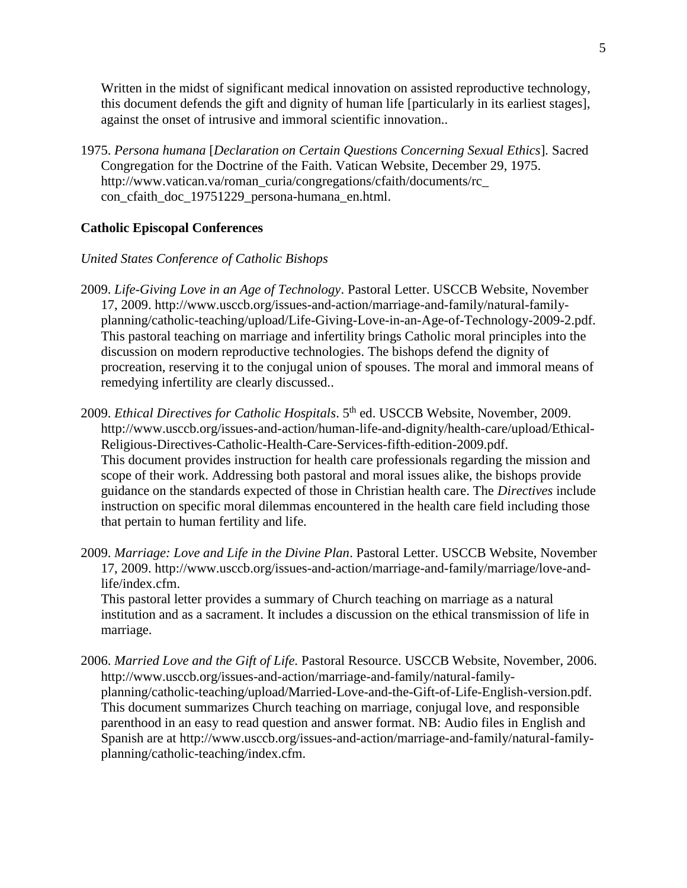Written in the midst of significant medical innovation on assisted reproductive technology, this document defends the gift and dignity of human life [particularly in its earliest stages], against the onset of intrusive and immoral scientific innovation..

1975. *Persona humana* [*Declaration on Certain Questions Concerning Sexual Ethics*]*.* Sacred Congregation for the Doctrine of the Faith. Vatican Website, December 29, 1975. [http://www.vatican.va/roman\\_curia/congregations/cfaith/documents/rc\\_](http://www.vatican.va/roman_curia/congregations/cfaith/documents/rc_) con\_cfaith\_doc\_19751229\_persona-humana\_en.html.

# **Catholic Episcopal Conferences**

### *United States Conference of Catholic Bishops*

- 2009. *[Life-Giving Love in an Age of Technology](http://www.usccb.org/issues-and-action/marriage-and-family/natural-family-planning/catholic-teaching/upload/Life-Giving-Love-in-an-Age-of-Technology-2009-2.pdf)*. Pastoral Letter. USCCB Website, November 17, 2009. http://www.usccb.org/issues-and-action/marriage-and-family/natural-familyplanning/catholic-teaching/upload/Life-Giving-Love-in-an-Age-of-Technology-2009-2.pdf. This pastoral teaching on marriage and infertility brings Catholic moral principles into the discussion on modern reproductive technologies. The bishops defend the dignity of procreation, reserving it to the conjugal union of spouses. The moral and immoral means of remedying infertility are clearly discussed..
- 2009. *[Ethical Directives for Catholic Hospitals](http://www.usccb.org/issues-and-action/human-life-and-dignity/health-care/upload/Ethical-Religious-Directives-Catholic-Health-Care-Services-fifth-edition-2009.pdf)*. 5<sup>th</sup> ed. USCCB Website, November, 2009. http://www.usccb.org/issues-and-action/human-life-and-dignity/health-care/upload/Ethical-Religious-Directives-Catholic-Health-Care-Services-fifth-edition-2009.pdf. This document provides instruction for health care professionals regarding the mission and scope of their work. Addressing both pastoral and moral issues alike, the bishops provide guidance on the standards expected of those in Christian health care. The *Directives* include instruction on specific moral dilemmas encountered in the health care field including those that pertain to human fertility and life.
- 2009. *[Marriage: Love and Life in the Divine Plan](http://www.usccb.org/issues-and-action/marriage-and-family/marriage/love-and-life/index.cfm)*. Pastoral Letter. USCCB Website, November 17, 2009. http://www.usccb.org/issues-and-action/marriage-and-family/marriage/love-andlife/index.cfm.

This pastoral letter provides a summary of Church teaching on marriage as a natural institution and as a sacrament. It includes a discussion on the ethical transmission of life in marriage.

2006. *Married Love and the Gift of Life.* Pastoral Resource. USCCB Website, November, 2006. [http://www.usccb.org/issues-and-action/marriage-and-family/natural-family](http://www.usccb.org/issues-and-action/marriage-and-family/natural-family-planning/catholic-teaching/upload/Married-Love-and-the-Gift-of-Life-English-version.pdf)[planning/catholic-teaching/upload/Married-Love-and-the-Gift-of-Life-English-version.pdf.](http://www.usccb.org/issues-and-action/marriage-and-family/natural-family-planning/catholic-teaching/upload/Married-Love-and-the-Gift-of-Life-English-version.pdf) This document summarizes Church teaching on marriage, conjugal love, and responsible parenthood in an easy to read question and answer format. NB: Audio files in English and Spanish are at http://www.usccb.org/issues-and-action/marriage-and-family/natural-familyplanning/catholic-teaching/index.cfm.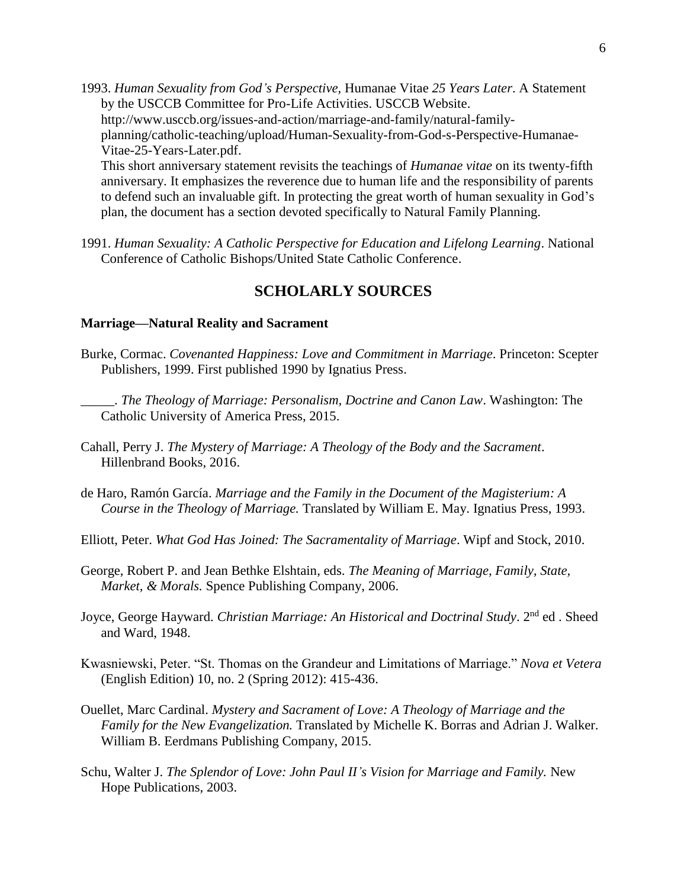1993. *[Human Sexuality from God's Perspective,](http://www.usccb.org/issues-and-action/marriage-and-family/natural-family-planning/catholic-teaching/upload/Human-Sexuality-from-God-s-Perspective-Humanae-Vitae-25-Years-Later.pdf)* Humanae Vitae *25 Years Later*. A Statement by the USCCB Committee for Pro-Life Activities. USCCB Website. [http://www.usccb.org/issues-and-action/marriage-and-family/natural-family](http://www.usccb.org/issues-and-action/marriage-and-family/natural-family-planning/catholic-teaching/upload/Human-Sexuality-from-God-s-Perspective-Humanae-Vitae-25-Years-Later.pdf)[planning/catholic-teaching/upload/Human-Sexuality-from-God-s-Perspective-Humanae-](http://www.usccb.org/issues-and-action/marriage-and-family/natural-family-planning/catholic-teaching/upload/Human-Sexuality-from-God-s-Perspective-Humanae-Vitae-25-Years-Later.pdf)[Vitae-25-Years-Later.pdf.](http://www.usccb.org/issues-and-action/marriage-and-family/natural-family-planning/catholic-teaching/upload/Human-Sexuality-from-God-s-Perspective-Humanae-Vitae-25-Years-Later.pdf) This short anniversary statement revisits the teachings of *Humanae vitae* on its twenty-fifth anniversary. It emphasizes the reverence due to human life and the responsibility of parents to defend such an invaluable gift. In protecting the great worth of human sexuality in God's plan, the document has a section devoted specifically to Natural Family Planning.

1991. *Human Sexuality: A Catholic Perspective for Education and Lifelong Learning*. National Conference of Catholic Bishops/United State Catholic Conference.

# **SCHOLARLY SOURCES**

#### **Marriage—Natural Reality and Sacrament**

- Burke, Cormac. *Covenanted Happiness: Love and Commitment in Marriage*. Princeton: Scepter Publishers, 1999. First published 1990 by Ignatius Press.
	- \_\_\_\_\_. *The Theology of Marriage: Personalism, Doctrine and Canon Law*. Washington: The Catholic University of America Press, 2015.
- Cahall, Perry J. *The Mystery of Marriage: A Theology of the Body and the Sacrament*. Hillenbrand Books, 2016.
- de Haro, Ramón García. *Marriage and the Family in the Document of the Magisterium: A Course in the Theology of Marriage.* Translated by William E. May. Ignatius Press, 1993.
- Elliott, Peter. *What God Has Joined: The Sacramentality of Marriage*. Wipf and Stock, 2010.
- George, Robert P. and Jean Bethke Elshtain, eds. *The Meaning of Marriage, Family, State, Market, & Morals.* Spence Publishing Company, 2006.
- Joyce, George Hayward. *Christian Marriage: An Historical and Doctrinal Study*. 2<sup>nd</sup> ed. Sheed and Ward, 1948.
- Kwasniewski, Peter. "St. Thomas on the Grandeur and Limitations of Marriage." *Nova et Vetera* (English Edition) 10, no. 2 (Spring 2012): 415-436.
- [Ouellet, M](http://www.eerdmans.com/Authors/Default.aspx?AuthorId=18196)arc Cardinal. *Mystery and Sacrament of Love: A Theology of Marriage and the Family for the New Evangelization.* Translated by Michelle K. Borras and Adrian J. Walker. William B. Eerdmans Publishing Company, 2015.
- Schu, Walter J. *The Splendor of Love: John Paul II's Vision for Marriage and Family.* New Hope Publications, 2003.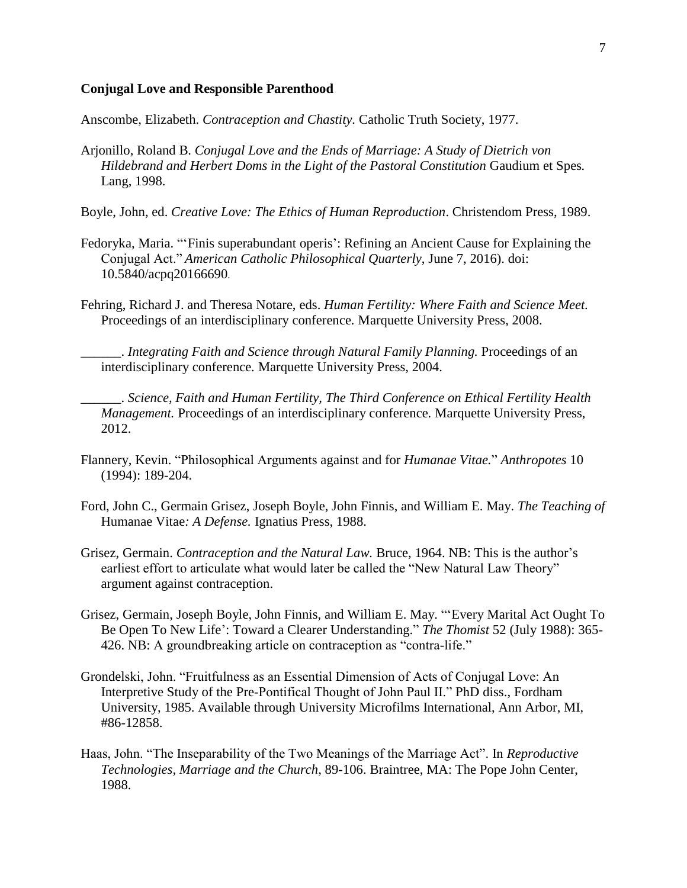#### **Conjugal Love and Responsible Parenthood**

Anscombe, Elizabeth. *Contraception and Chastity.* Catholic Truth Society, 1977.

Arjonillo, Roland B. *Conjugal Love and the Ends of Marriage: A Study of Dietrich von Hildebrand and Herbert Doms in the Light of the Pastoral Constitution* Gaudium et Spes*.* Lang, 1998.

Boyle, John, ed. *Creative Love: The Ethics of Human Reproduction*. Christendom Press, 1989.

- Fedoryka, Maria. "'Finis superabundant operis': Refining an Ancient Cause for Explaining the Conjugal Act." *American Catholic Philosophical Quarterly*, June 7, 2016). doi: 10.5840/acpq20166690.
- Fehring, Richard J. and Theresa Notare, eds. *Human Fertility: Where Faith and Science Meet.* Proceedings of an interdisciplinary conference*.* Marquette University Press, 2008.

\_\_\_\_\_\_. *Integrating Faith and Science through Natural Family Planning.* Proceedings of an interdisciplinary conference*.* Marquette University Press, 2004.

\_\_\_\_\_\_. *Science, Faith and Human Fertility, The Third Conference on Ethical Fertility Health Management.* Proceedings of an interdisciplinary conference*.* Marquette University Press, 2012.

- Flannery, Kevin. "Philosophical Arguments against and for *Humanae Vitae.*" *Anthropotes* 10 (1994): 189-204.
- Ford, John C., Germain Grisez, Joseph Boyle, John Finnis, and William E. May. *The Teaching of* Humanae Vitae*: A Defense.* Ignatius Press, 1988.
- Grisez, Germain. *Contraception and the Natural Law.* Bruce, 1964. NB: This is the author's earliest effort to articulate what would later be called the "New Natural Law Theory" argument against contraception.
- Grisez, Germain, Joseph Boyle, John Finnis, and William E. May. "'Every Marital Act Ought To Be Open To New Life': Toward a Clearer Understanding." *The Thomist* 52 (July 1988): 365- 426. NB: A groundbreaking article on contraception as "contra-life."
- Grondelski, John. "Fruitfulness as an Essential Dimension of Acts of Conjugal Love: An Interpretive Study of the Pre-Pontifical Thought of John Paul II." PhD diss., Fordham University, 1985. Available through University Microfilms International, Ann Arbor, MI, #86-12858.
- Haas, John. "The Inseparability of the Two Meanings of the Marriage Act". In *Reproductive Technologies, Marriage and the Church*, 89-106. Braintree, MA: The Pope John Center, 1988.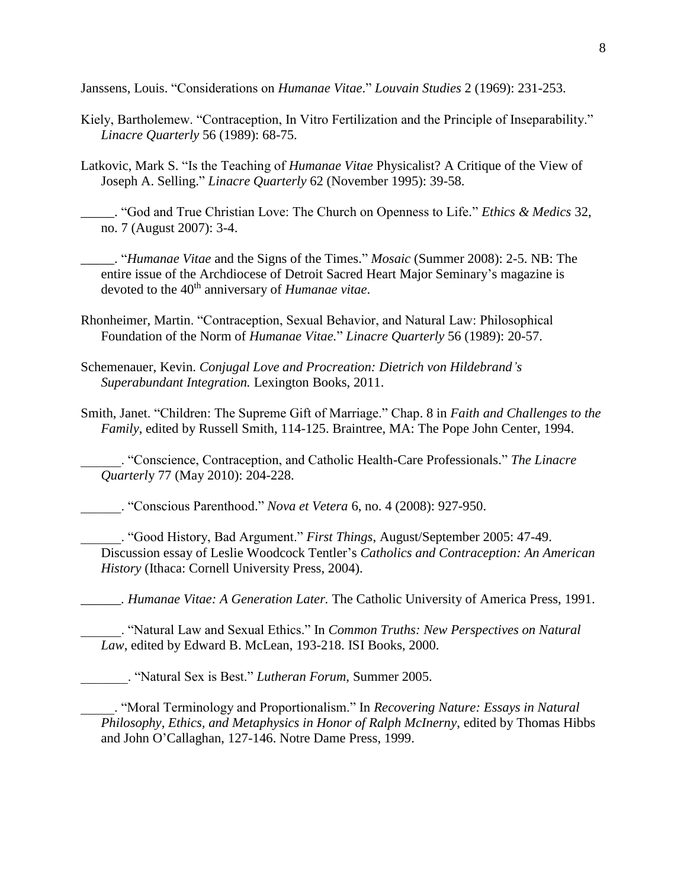Janssens, Louis. "Considerations on *Humanae Vitae*." *Louvain Studies* 2 (1969): 231-253.

- Kiely, Bartholemew. "Contraception, In Vitro Fertilization and the Principle of Inseparability." *Linacre Quarterly* 56 (1989): 68-75.
- Latkovic, Mark S. "Is the Teaching of *Humanae Vitae* Physicalist? A Critique of the View of Joseph A. Selling." *Linacre Quarterly* 62 (November 1995): 39-58.
	- \_\_\_\_\_. "God and True Christian Love: The Church on Openness to Life." *Ethics & Medics* 32, no. 7 (August 2007): 3-4.

\_\_\_\_\_. "*Humanae Vitae* and the Signs of the Times." *Mosaic* (Summer 2008): 2-5. NB: The entire issue of the Archdiocese of Detroit Sacred Heart Major Seminary's magazine is devoted to the 40th anniversary of *Humanae vitae*.

- Rhonheimer, Martin. "Contraception, Sexual Behavior, and Natural Law: Philosophical Foundation of the Norm of *Humanae Vitae.*" *Linacre Quarterly* 56 (1989): 20-57.
- Schemenauer, Kevin. *Conjugal Love and Procreation: Dietrich von Hildebrand's Superabundant Integration.* Lexington Books, 2011.
- Smith, Janet. "Children: The Supreme Gift of Marriage." Chap. 8 in *Faith and Challenges to the Family*, edited by Russell Smith, 114-125. Braintree, MA: The Pope John Center, 1994.

\_\_\_\_\_\_. "Conscience, Contraception, and Catholic Health-Care Professionals." *The Linacre Quarterl*y 77 (May 2010): 204-228.

\_\_\_\_\_\_. "Conscious Parenthood." *Nova et Vetera* 6, no. 4 (2008): 927-950.

\_\_\_\_\_\_. "Good History, Bad Argument." *First Things*, August/September 2005: 47-49. Discussion essay of Leslie Woodcock Tentler's *Catholics and Contraception: An American History* (Ithaca: Cornell University Press, 2004).

*\_\_\_\_\_\_. Humanae Vitae: A Generation Later.* The Catholic University of America Press, 1991.

\_\_\_\_\_\_. "Natural Law and Sexual Ethics." In *Common Truths: New Perspectives on Natural Law*, edited by Edward B. McLean, 193-218. ISI Books, 2000.

\_\_\_\_\_\_\_. "Natural Sex is Best." *Lutheran Forum*, Summer 2005.

\_\_\_\_\_. "Moral Terminology and Proportionalism." In *Recovering Nature: Essays in Natural Philosophy, Ethics, and Metaphysics in Honor of Ralph McInerny*, edited by Thomas Hibbs and John O'Callaghan, 127-146. Notre Dame Press, 1999.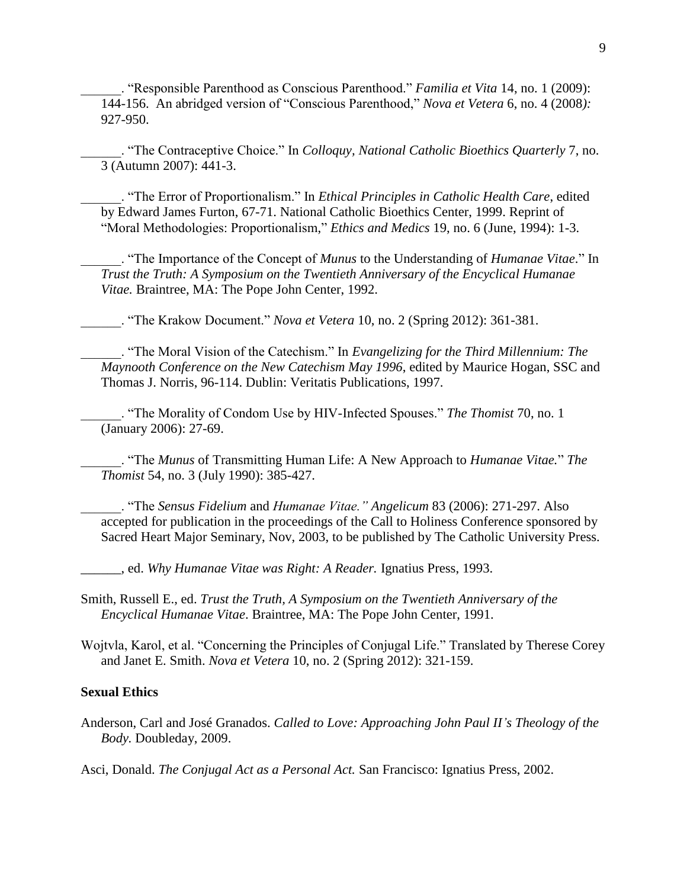\_\_\_\_\_\_. "Responsible Parenthood as Conscious Parenthood." *Familia et Vita* 14, no. 1 (2009): 144-156. An abridged version of "Conscious Parenthood," *Nova et Vetera* 6, no. 4 (2008*):* 927-950.

\_\_\_\_\_\_. "The Contraceptive Choice." In *Colloquy, National Catholic Bioethics Quarterly* 7, no. 3 (Autumn 2007): 441-3.

\_\_\_\_\_\_. "The Error of Proportionalism." In *Ethical Principles in Catholic Health Care*, edited by Edward James Furton, 67-71. National Catholic Bioethics Center, 1999. Reprint of "Moral Methodologies: Proportionalism," *Ethics and Medics* 19, no. 6 (June, 1994): 1-3.

\_\_\_\_\_\_. "The Importance of the Concept of *Munus* to the Understanding of *Humanae Vitae*." In *Trust the Truth: A Symposium on the Twentieth Anniversary of the Encyclical Humanae Vitae.* Braintree, MA: The Pope John Center, 1992.

\_\_\_\_\_\_. "The Krakow Document." *Nova et Vetera* 10, no. 2 (Spring 2012): 361-381.

\_\_\_\_\_\_. "The Moral Vision of the Catechism." In *Evangelizing for the Third Millennium: The Maynooth Conference on the New Catechism May 1996*, edited by Maurice Hogan, SSC and Thomas J. Norris, 96-114. Dublin: Veritatis Publications, 1997.

\_\_\_\_\_\_. "The Morality of Condom Use by HIV-Infected Spouses." *The Thomist* 70, no. 1 (January 2006): 27-69.

\_\_\_\_\_\_. "The *Munus* of Transmitting Human Life: A New Approach to *Humanae Vitae.*" *The Thomist* 54, no. 3 (July 1990): 385-427.

\_\_\_\_\_\_. "The *Sensus Fidelium* and *Humanae Vitae." Angelicum* 83 (2006): 271-297. Also accepted for publication in the proceedings of the Call to Holiness Conference sponsored by Sacred Heart Major Seminary, Nov, 2003, to be published by The Catholic University Press.

\_\_\_\_\_\_, ed. *Why Humanae Vitae was Right: A Reader.* Ignatius Press, 1993.

Smith, Russell E., ed. *Trust the Truth, A Symposium on the Twentieth Anniversary of the Encyclical Humanae Vitae*. Braintree, MA: The Pope John Center, 1991.

Wojtvla, Karol, et al. "Concerning the Principles of Conjugal Life." Translated by Therese Corey and Janet E. Smith. *Nova et Vetera* 10, no. 2 (Spring 2012): 321-159.

### **Sexual Ethics**

Anderson, Carl and José Granados. *Called to Love: Approaching John Paul II's Theology of the Body.* Doubleday, 2009.

Asci, Donald. *The Conjugal Act as a Personal Act.* San Francisco: Ignatius Press, 2002.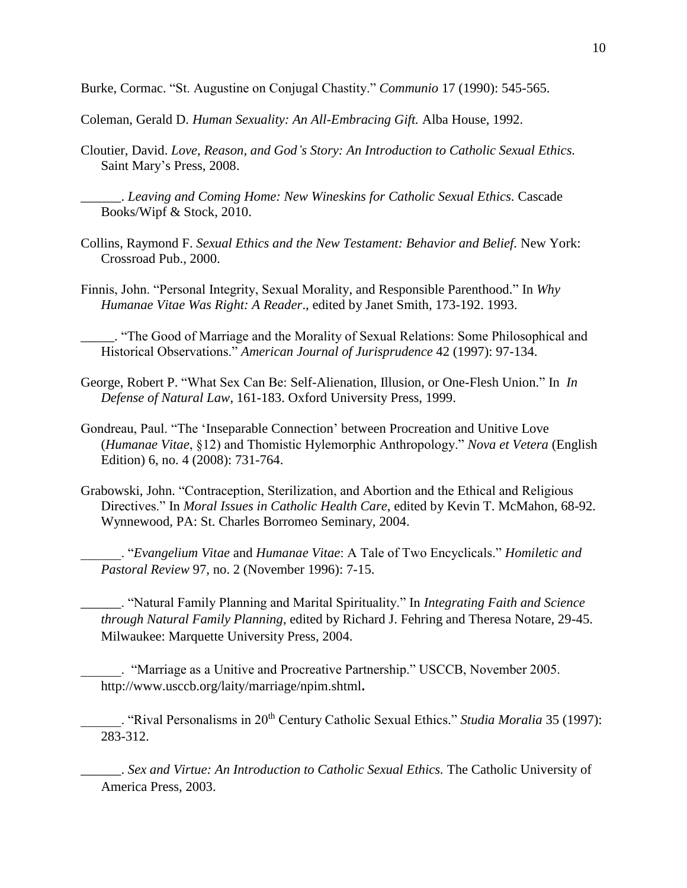Burke, Cormac. "St. Augustine on Conjugal Chastity." *Communio* 17 (1990): 545-565.

Coleman, Gerald D. *Human Sexuality: An All-Embracing Gift.* Alba House, 1992.

Cloutier, David. *Love, Reason, and God's Story: An Introduction to Catholic Sexual Ethics.* Saint Mary's Press, 2008.

\_\_\_\_\_\_. *Leaving and Coming Home: New Wineskins for Catholic Sexual Ethics.* Cascade Books/Wipf & Stock, 2010.

- Collins, Raymond F. *Sexual Ethics and the New Testament: Behavior and Belief.* New York: Crossroad Pub., 2000.
- Finnis, John. "Personal Integrity, Sexual Morality, and Responsible Parenthood." In *Why Humanae Vitae Was Right: A Reader*., edited by Janet Smith, 173-192. 1993.

\_\_\_\_\_. "The Good of Marriage and the Morality of Sexual Relations: Some Philosophical and Historical Observations." *American Journal of Jurisprudence* 42 (1997): 97-134.

- George, Robert P. "What Sex Can Be: Self-Alienation, Illusion, or One-Flesh Union." In *In Defense of Natural Law*, 161-183. Oxford University Press, 1999.
- Gondreau, Paul. "The 'Inseparable Connection' between Procreation and Unitive Love (*Humanae Vitae*, §12) and Thomistic Hylemorphic Anthropology." *Nova et Vetera* (English Edition) 6, no. 4 (2008): 731-764.
- Grabowski, John. "Contraception, Sterilization, and Abortion and the Ethical and Religious Directives." In *Moral Issues in Catholic Health Care*, edited by Kevin T. McMahon, 68-92. Wynnewood, PA: St. Charles Borromeo Seminary, 2004.

\_\_\_\_\_\_. "*Evangelium Vitae* and *Humanae Vitae*: A Tale of Two Encyclicals." *Homiletic and Pastoral Review* 97, no. 2 (November 1996): 7-15.

\_\_\_\_\_\_. "Natural Family Planning and Marital Spirituality." In *Integrating Faith and Science through Natural Family Planning*, edited by Richard J. Fehring and Theresa Notare, 29-45. Milwaukee: Marquette University Press, 2004.

\_\_\_\_\_\_. "Marriage as a Unitive and Procreative Partnership." USCCB, November 2005. <http://www.usccb.org/laity/marriage/npim.shtml>**.**

\_\_\_\_\_\_. "Rival Personalisms in 20th Century Catholic Sexual Ethics." *Studia Moralia* 35 (1997): 283-312.

\_\_\_\_\_\_. *Sex and Virtue: An Introduction to Catholic Sexual Ethics.* The Catholic University of America Press, 2003.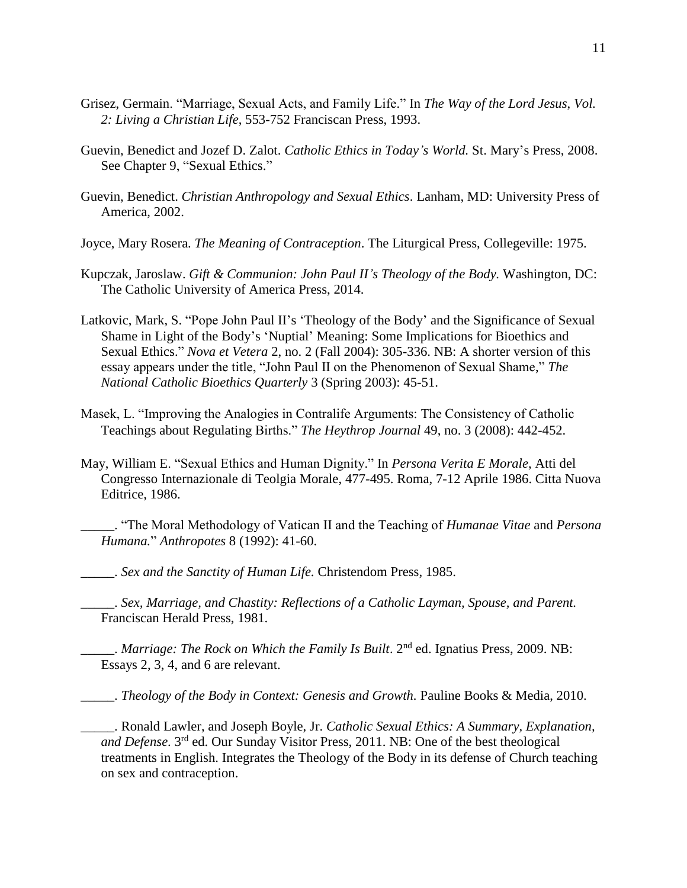- Grisez, Germain. "Marriage, Sexual Acts, and Family Life." In *The Way of the Lord Jesus*, *Vol. 2: Living a Christian Life*, 553-752 Franciscan Press, 1993.
- Guevin, Benedict and Jozef D. Zalot. *Catholic Ethics in Today's World.* St. Mary's Press, 2008. See Chapter 9, "Sexual Ethics."
- Guevin, Benedict. *Christian Anthropology and Sexual Ethics*. Lanham, MD: University Press of America, 2002.
- Joyce, Mary Rosera. *The Meaning of Contraception*. The Liturgical Press, Collegeville: 1975.
- Kupczak, Jaroslaw. *Gift & Communion: John Paul II's Theology of the Body.* Washington, DC: The Catholic University of America Press, 2014.
- Latkovic, Mark, S. "Pope John Paul II's 'Theology of the Body' and the Significance of Sexual Shame in Light of the Body's 'Nuptial' Meaning: Some Implications for Bioethics and Sexual Ethics." *Nova et Vetera* 2, no. 2 (Fall 2004): 305-336. NB: A shorter version of this essay appears under the title, "John Paul II on the Phenomenon of Sexual Shame," *The National Catholic Bioethics Quarterly* 3 (Spring 2003): 45-51.
- Masek, L. "Improving the Analogies in Contralife Arguments: The Consistency of Catholic Teachings about Regulating Births." *The Heythrop Journal* 49, no. 3 (2008): 442-452.
- May, William E. "Sexual Ethics and Human Dignity." In *Persona Verita E Morale*, Atti del Congresso Internazionale di Teolgia Morale, 477-495. Roma, 7-12 Aprile 1986. Citta Nuova Editrice, 1986.
	- \_\_\_\_\_. "The Moral Methodology of Vatican II and the Teaching of *Humanae Vitae* and *Persona Humana.*" *Anthropotes* 8 (1992): 41-60.
- \_\_\_\_\_. *Sex and the Sanctity of Human Life.* Christendom Press, 1985.
	- \_\_\_\_\_. *Sex, Marriage, and Chastity: Reflections of a Catholic Layman, Spouse, and Parent.* Franciscan Herald Press, 1981.
- *Marriage: The Rock on Which the Family Is Built.* 2<sup>nd</sup> ed. Ignatius Press, 2009. NB: Essays 2, 3, 4, and 6 are relevant.
- \_\_\_\_\_. *Theology of the Body in Context: Genesis and Growth.* Pauline Books & Media, 2010.
- \_\_\_\_\_. Ronald Lawler, and Joseph Boyle, Jr. *Catholic Sexual Ethics: A Summary, Explanation,* and Defense. 3<sup>rd</sup> ed. Our Sunday Visitor Press, 2011. NB: One of the best theological treatments in English. Integrates the Theology of the Body in its defense of Church teaching on sex and contraception.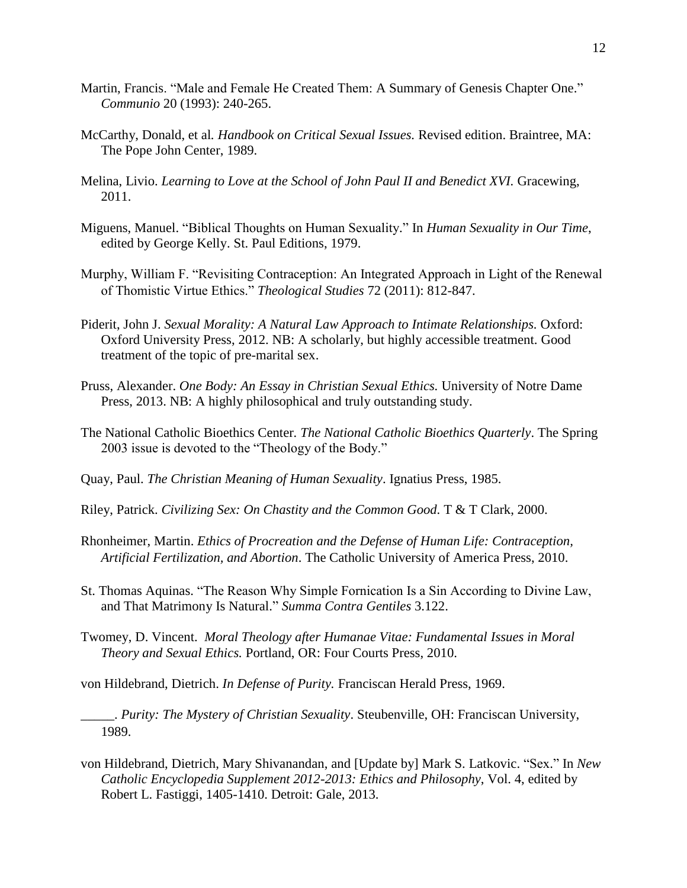- Martin, Francis. "Male and Female He Created Them: A Summary of Genesis Chapter One." *Communio* 20 (1993): 240-265.
- McCarthy, Donald, et al*. Handbook on Critical Sexual Issues.* Revised edition. Braintree, MA: The Pope John Center, 1989.
- Melina, Livio. *Learning to Love at the School of John Paul II and Benedict XVI*. Gracewing, 2011.
- Miguens, Manuel. "Biblical Thoughts on Human Sexuality." In *Human Sexuality in Our Time*, edited by George Kelly. St. Paul Editions, 1979.
- Murphy, William F. "Revisiting Contraception: An Integrated Approach in Light of the Renewal of Thomistic Virtue Ethics." *Theological Studies* 72 (2011): 812-847.
- Piderit, John J. *Sexual Morality: A Natural Law Approach to Intimate Relationships.* Oxford: Oxford University Press, 2012. NB: A scholarly, but highly accessible treatment. Good treatment of the topic of pre-marital sex.
- Pruss, Alexander. *One Body: An Essay in Christian Sexual Ethics.* University of Notre Dame Press, 2013. NB: A highly philosophical and truly outstanding study.
- The National Catholic Bioethics Center*. The National Catholic Bioethics Quarterly*. The Spring 2003 issue is devoted to the "Theology of the Body."
- Quay, Paul. *The Christian Meaning of Human Sexuality*. Ignatius Press, 1985.
- Riley, Patrick. *Civilizing Sex: On Chastity and the Common Good.* T & T Clark, 2000.
- Rhonheimer, Martin. *Ethics of Procreation and the Defense of Human Life: Contraception, Artificial Fertilization, and Abortion*. The Catholic University of America Press, 2010.
- St. Thomas Aquinas. "The Reason Why Simple Fornication Is a Sin According to Divine Law, and That Matrimony Is Natural." *Summa Contra Gentiles* 3.122.
- Twomey, D. Vincent. *Moral Theology after Humanae Vitae: Fundamental Issues in Moral Theory and Sexual Ethics.* Portland, OR: Four Courts Press, 2010.

von Hildebrand, Dietrich. *In Defense of Purity.* Franciscan Herald Press, 1969.

- \_\_\_\_\_. *Purity: The Mystery of Christian Sexuality*. Steubenville, OH: Franciscan University, 1989.
- von Hildebrand, Dietrich, Mary Shivanandan, and [Update by] Mark S. Latkovic. "Sex." In *New Catholic Encyclopedia Supplement 2012-2013: Ethics and Philosophy*, Vol. 4, edited by Robert L. Fastiggi, 1405-1410. Detroit: Gale, 2013.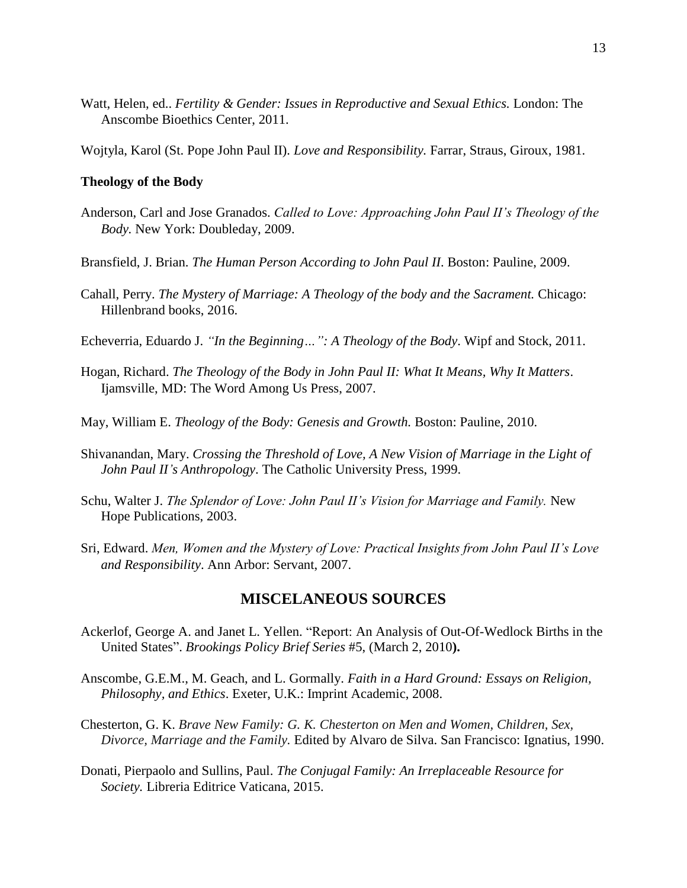Watt, Helen, ed.. *Fertility & Gender: Issues in Reproductive and Sexual Ethics*. London: The Anscombe Bioethics Center, 2011.

Wojtyla, Karol (St. Pope John Paul II)*. Love and Responsibility.* Farrar, Straus, Giroux, 1981.

#### **Theology of the Body**

- Anderson, Carl and Jose Granados. *Called to Love: Approaching John Paul II's Theology of the Body.* New York: Doubleday, 2009.
- Bransfield, J. Brian. *The Human Person According to John Paul II*. Boston: Pauline, 2009.
- Cahall, Perry. *The Mystery of Marriage: A Theology of the body and the Sacrament.* Chicago: Hillenbrand books, 2016.
- Echeverria, Eduardo J. *"In the Beginning…": A Theology of the Body*. Wipf and Stock, 2011.
- Hogan, Richard. *The Theology of the Body in John Paul II: What It Means, Why It Matters*. Ijamsville, MD: The Word Among Us Press, 2007.
- May, William E. *Theology of the Body: Genesis and Growth.* Boston: Pauline, 2010.
- Shivanandan, Mary. *Crossing the Threshold of Love, A New Vision of Marriage in the Light of John Paul II's Anthropology*. The Catholic University Press, 1999.
- Schu, Walter J. *The Splendor of Love: John Paul II's Vision for Marriage and Family.* New Hope Publications, 2003.
- Sri, Edward. *Men, Women and the Mystery of Love: Practical Insights from John Paul II's Love and Responsibility*. Ann Arbor: Servant, 2007.

## **MISCELANEOUS SOURCES**

- Ackerlof, George A. and Janet L. Yellen. "Report: An Analysis of Out-Of-Wedlock Births in the United States". *Brookings Policy Brief Series* #5, (March 2, 2010**).**
- Anscombe, G.E.M., M. Geach, and L. Gormally. *Faith in a Hard Ground: Essays on Religion, Philosophy, and Ethics*. Exeter, U.K.: Imprint Academic, 2008.
- Chesterton, G. K. *Brave New Family: G. K. Chesterton on Men and Women, Children, Sex, Divorce, Marriage and the Family.* Edited by Alvaro de Silva. San Francisco: Ignatius, 1990.
- Donati, Pierpaolo and Sullins, Paul. *The Conjugal Family: An Irreplaceable Resource for Society.* Libreria Editrice Vaticana, 2015.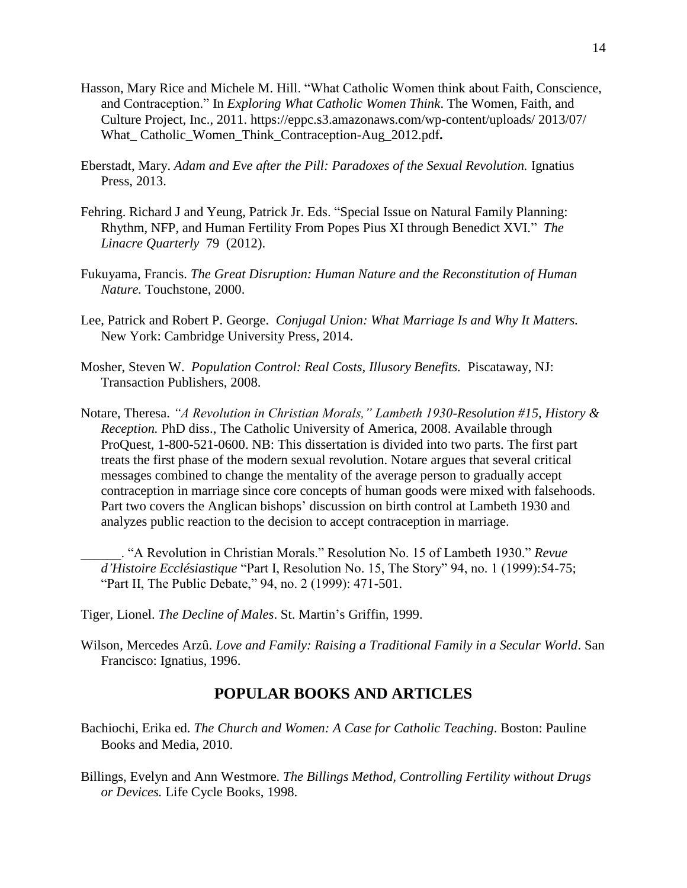- Hasson, Mary Rice and Michele M. Hill. "What Catholic Women think about Faith, Conscience, and Contraception." In *Exploring What Catholic Women Think*. The Women, Faith, and Culture Project, Inc., 2011. [https://eppc.s3.amazonaws.com/wp-content/uploads/ 2013/07/](https://eppc.s3.amazonaws.com/wp-content/uploads/%202013/07/%20What_%20Catholic_Women_Think_Contraception-Aug_2012.pdf)  [What\\_ Catholic\\_Women\\_Think\\_Contraception-Aug\\_2012.pdf](https://eppc.s3.amazonaws.com/wp-content/uploads/%202013/07/%20What_%20Catholic_Women_Think_Contraception-Aug_2012.pdf)**.**
- Eberstadt, Mary. *Adam and Eve after the Pill: Paradoxes of the Sexual Revolution.* Ignatius Press, 2013.
- Fehring. Richard J and Yeung, Patrick Jr. Eds. "Special Issue on Natural Family Planning: Rhythm, NFP, and Human Fertility From Popes Pius XI through Benedict XVI." *The Linacre Quarterly* 79 (2012).
- Fukuyama, Francis. *The Great Disruption: Human Nature and the Reconstitution of Human Nature.* Touchstone, 2000.
- Lee, Patrick and Robert P. George. *Conjugal Union: What Marriage Is and Why It Matters.* New York: Cambridge University Press, 2014.
- Mosher, Steven W. *Population Control: Real Costs, Illusory Benefits.* Piscataway, NJ: Transaction Publishers, 2008.
- Notare, Theresa. *"A Revolution in Christian Morals," Lambeth 1930-Resolution #15, History & Reception.* PhD diss., The Catholic University of America, 2008. Available through ProQuest, 1-800-521-0600. NB: This dissertation is divided into two parts. The first part treats the first phase of the modern sexual revolution. Notare argues that several critical messages combined to change the mentality of the average person to gradually accept contraception in marriage since core concepts of human goods were mixed with falsehoods. Part two covers the Anglican bishops' discussion on birth control at Lambeth 1930 and analyzes public reaction to the decision to accept contraception in marriage.

\_\_\_\_\_\_. "A Revolution in Christian Morals." Resolution No. 15 of Lambeth 1930." *Revue d'Histoire Ecclésiastique* "Part I, Resolution No. 15, The Story" 94, no. 1 (1999):54-75; "Part II, The Public Debate," 94, no. 2 (1999): 471-501.

- Tiger, Lionel. *The Decline of Males*. St. Martin's Griffin, 1999.
- Wilson, Mercedes Arzû. *Love and Family: Raising a Traditional Family in a Secular World*. San Francisco: Ignatius, 1996.

# **POPULAR BOOKS AND ARTICLES**

- Bachiochi, Erika ed. *The Church and Women: A Case for Catholic Teaching*. Boston: Pauline Books and Media, 2010.
- Billings, Evelyn and Ann Westmore. *The Billings Method, Controlling Fertility without Drugs or Devices.* Life Cycle Books, 1998.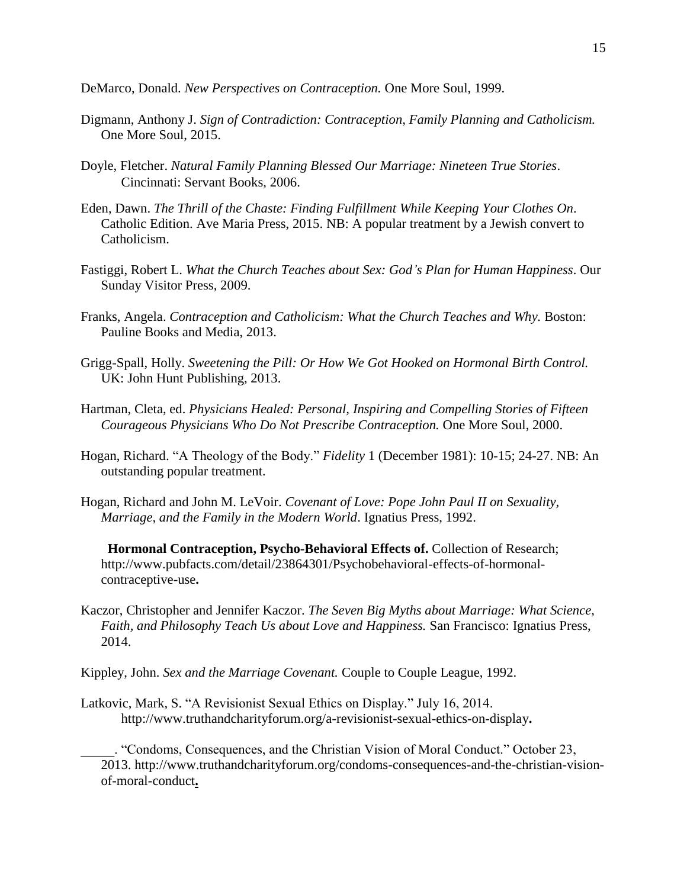DeMarco, Donald. *New Perspectives on Contraception.* One More Soul, 1999.

- Digmann, Anthony J. *Sign of Contradiction: Contraception, Family Planning and Catholicism.* One More Soul, 2015.
- Doyle, Fletcher. *Natural Family Planning Blessed Our Marriage: Nineteen True Stories*. Cincinnati: Servant Books, 2006.
- Eden, Dawn. *The Thrill of the Chaste: Finding Fulfillment While Keeping Your Clothes On*. Catholic Edition. Ave Maria Press, 2015. NB: A popular treatment by a Jewish convert to Catholicism.
- Fastiggi, Robert L. *What the Church Teaches about Sex: God's Plan for Human Happiness*. Our Sunday Visitor Press, 2009.
- Franks, Angela. *Contraception and Catholicism: What the Church Teaches and Why. Boston:* Pauline Books and Media, 2013.
- Grigg-Spall, Holly. *Sweetening the Pill: Or How We Got Hooked on Hormonal Birth Control.* UK: John Hunt Publishing, 2013.
- Hartman, Cleta, ed. *Physicians Healed: Personal, Inspiring and Compelling Stories of Fifteen Courageous Physicians Who Do Not Prescribe Contraception.* One More Soul, 2000.
- Hogan, Richard. "A Theology of the Body." *Fidelity* 1 (December 1981): 10-15; 24-27. NB: An outstanding popular treatment.
- Hogan, Richard and John M. LeVoir. *Covenant of Love: Pope John Paul II on Sexuality, Marriage, and the Family in the Modern World*. Ignatius Press, 1992.

 **Hormonal Contraception, Psycho-Behavioral Effects of.** Collection of Research; [http://www.pubfacts.com/detail/23864301/Psychobehavioral-effects-of-hormonal](http://www.pubfacts.com/detail/23864301/Psychobehavioral-effects-of-hormonal-contraceptive-use)[contraceptive-use](http://www.pubfacts.com/detail/23864301/Psychobehavioral-effects-of-hormonal-contraceptive-use)**.**

- Kaczor, Christopher and Jennifer Kaczor. *The Seven Big Myths about Marriage: What Science, Faith, and Philosophy Teach Us about Love and Happiness.* San Francisco: Ignatius Press, 2014.
- Kippley, John. *Sex and the Marriage Covenant.* Couple to Couple League, 1992.
- Latkovic, Mark, S. "A Revisionist Sexual Ethics on Display." July 16, 2014. [http://www.truthandcharityforum.org/a-revisionist-sexual-ethics-on-display](http://www.truthandcharityforum.org/a-revisionist-sexual-ethics-on-display/)**.**

\_\_\_\_\_. "Condoms, Consequences, and the Christian Vision of Moral Conduct." October 23, 2013. [http://www.truthandcharityforum.org/condoms-consequences-and-the-christian-vision](http://www.truthandcharityforum.org/condoms-consequences-and-the-christian-vision-of-moral-conduct/)[of-moral-conduct](http://www.truthandcharityforum.org/condoms-consequences-and-the-christian-vision-of-moral-conduct/)**.**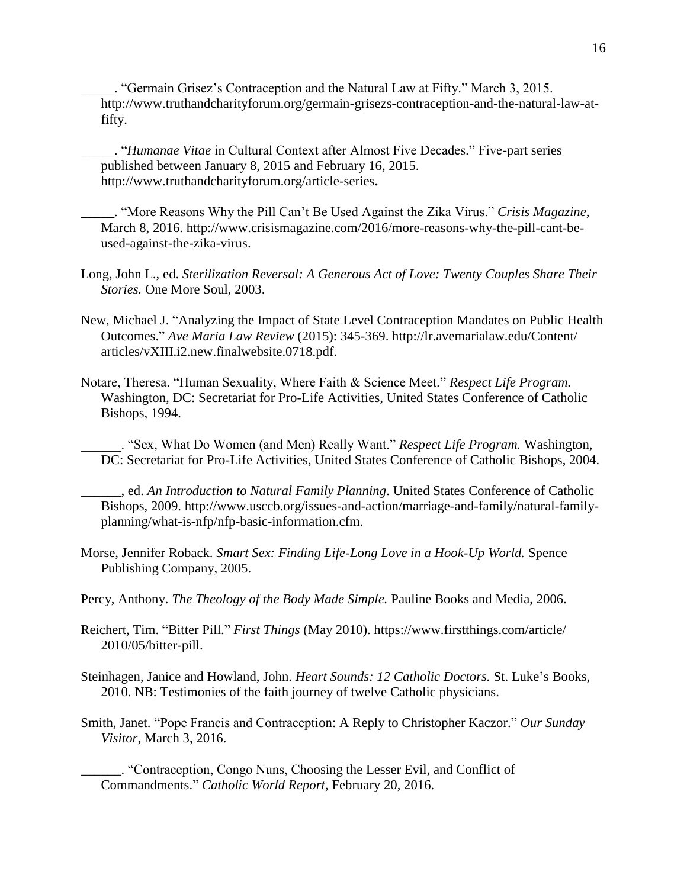\_\_\_\_\_. "Germain Grisez's Contraception and the Natural Law at Fifty." March 3, 2015. http://www.truthandcharityforum.org/germain-grisezs-contraception-and-the-natural-law-atfifty.

\_\_\_\_\_. "*Humanae Vitae* in Cultural Context after Almost Five Decades." Five-part series published between January 8, 2015 and February 16, 2015. [http://www.truthandcharityforum.org/article-series](http://www.truthandcharityforum.org/article-series/)**.**

**\_\_\_\_\_**. "More Reasons Why the Pill Can't Be Used Against the Zika Virus." *Crisis Magazine*, March 8, 2016. [http://www.crisismagazine.com/2016/more-reasons-why-the-pill-cant-be](http://www.crisismagazine.com/2016/more-reasons-why-the-pill-cant-be-used-against-the-zika-virus)[used-against-the-zika-virus.](http://www.crisismagazine.com/2016/more-reasons-why-the-pill-cant-be-used-against-the-zika-virus)

- Long, John L., ed. *Sterilization Reversal: A Generous Act of Love: Twenty Couples Share Their Stories.* One More Soul, 2003.
- New, Michael J. "Analyzing the Impact of State Level Contraception Mandates on Public Health Outcomes." *Ave Maria Law Review* (2015): 345-369. http://lr.avemarialaw.edu/Content/ articles/vXIII.i2.new.finalwebsite.0718.pdf.
- Notare, Theresa. "Human Sexuality, Where Faith & Science Meet." *Respect Life Program.* Washington, DC: Secretariat for Pro-Life Activities, United States Conference of Catholic Bishops, 1994.

\_\_\_\_\_\_. "Sex, What Do Women (and Men) Really Want." *Respect Life Program.* Washington, DC: Secretariat for Pro-Life Activities, United States Conference of Catholic Bishops, 2004.

\_\_\_\_\_\_, ed. *An Introduction to Natural Family Planning*. United States Conference of Catholic Bishops, 2009. http://www.usccb.org/issues-and-action/marriage-and-family/natural-familyplanning/what-is-nfp/nfp-basic-information.cfm.

- Morse, Jennifer Roback. *Smart Sex: Finding Life-Long Love in a Hook-Up World.* Spence Publishing Company, 2005.
- Percy, Anthony. *The Theology of the Body Made Simple.* Pauline Books and Media, 2006.
- Reichert, Tim. "Bitter Pill." *First Things* (May 2010).<https://www.firstthings.com/article/> 2010/05/bitter-pill.
- Steinhagen, Janice and Howland, John. *Heart Sounds: 12 Catholic Doctors.* St. Luke's Books, 2010. NB: Testimonies of the faith journey of twelve Catholic physicians.
- Smith, Janet. ["Pope Francis and Contraception: A Reply to Christopher Kaczor."](https://www.osv.com/Article/TabId/493/artmid/13569/articleid/19389/Default) *Our Sunday Visitor*, March 3, 2016.

\_\_\_\_\_\_. ["Contraception, Congo Nuns, Choosing the Lesser Evil, and Conflict of](http://www.catholicworldreport.com/Item/4594/contraception_congo_nuns_choosing_the_lesser_evil_and_conflict_of_commandments.aspx)  [Commandments."](http://www.catholicworldreport.com/Item/4594/contraception_congo_nuns_choosing_the_lesser_evil_and_conflict_of_commandments.aspx) *Catholic World Report*, February 20, 2016.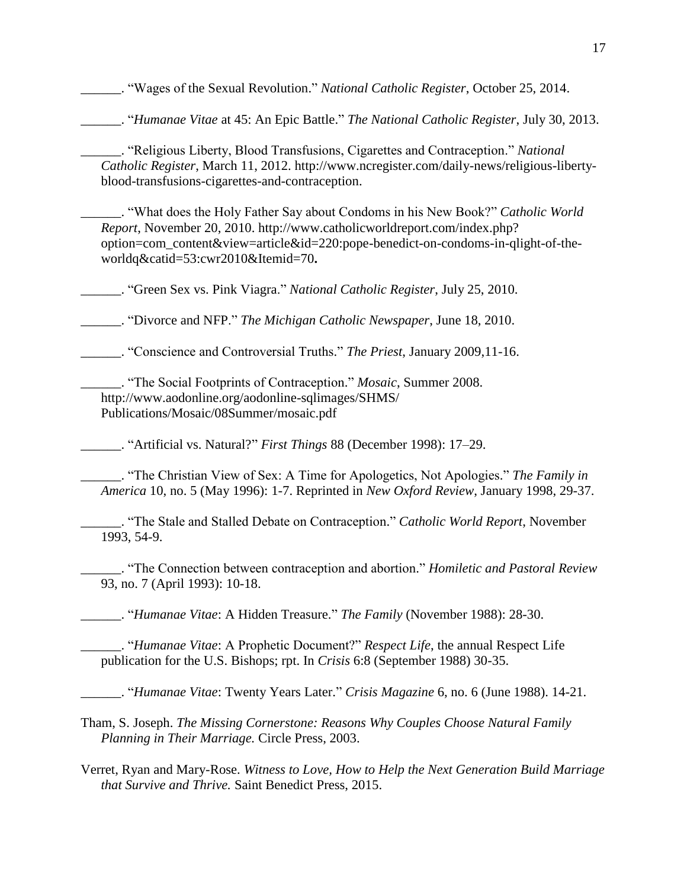\_\_\_\_\_\_. ["Wages of the Sexual Revolution."](http://www.ncregister.com/daily-news/wages-of-the-sexual-revolution/) *National Catholic Register*, October 25, 2014.

\_\_\_\_\_\_. "*Humanae Vitae* [at 45: An Epic Battle."](http://www.ncregister.com/daily-news/humanae-vitae-at-45-an-epic-war/?utm_source=dlvr.it&utm_medium=twitter) *The National Catholic Register*, July 30, 2013.

\_\_\_\_\_\_. ["Religious Liberty, Blood Transfusions, Cigarettes and Contraception.](http://www.ncregister.com/daily-news/religious-liberty-blood-transfusions-cigarettes-and-contraception/)" *National Catholic Register*, March 11, 2012. [http://www.ncregister.com/daily-news/religious-liberty](http://www.ncregister.com/daily-news/religious-liberty-blood-transfusions-cigarettes-and-contraception/)[blood-transfusions-cigarettes-and-contraception.](http://www.ncregister.com/daily-news/religious-liberty-blood-transfusions-cigarettes-and-contraception/)

\_\_\_\_\_\_. "What does the Holy Father Say about Condoms in his New Book?" *Catholic World Report*, November 20, 2010. http://www.catholicworldreport.com/index.php? [option=com\\_content&view=article&id=220:pope-benedict-on-condoms-in-qlight-of-the](http://www.catholicworldreport.com/index.php?option=%20com_content&view=article&id=220:pope-benedict-on-condoms-in-qlight-of-the-worldq&catid=53:cwr2010&Itemid=70)[worldq&catid=53:cwr2010&Itemid=70](http://www.catholicworldreport.com/index.php?option=%20com_content&view=article&id=220:pope-benedict-on-condoms-in-qlight-of-the-worldq&catid=53:cwr2010&Itemid=70)**.**

\_\_\_\_\_\_. ["Green Sex vs. Pink Viagra.](http://www.ncregister.com/register_exclusives/green-sex-vs.-pink-viagra)" *National Catholic Register*, July 25, 2010.

\_\_\_\_\_\_. ["Divorce and NFP.](http://www.aodonline.org/AODOnline/News+++Publications+2203/Michigan+Catholic+News+12203/2010+17545/100618_NFPConference.htm)" *The Michigan Catholic Newspaper*, June 18, 2010.

\_\_\_\_\_\_. "Conscience and Controversial Truths." *The Priest*, January 2009,11-16.

\_\_\_\_\_\_. "The Social Footprints of Contraception." *Mosaic*, Summer 2008. [http://www.aodonline.org/aodonline-sqlimages/SHMS/](http://www.aodonline.org/aodonline-sqlimages/SHMS/%20Publications/Mosaic/08Summer/mosaic.pdf)  [Publications/Mosaic/08Summer/mosaic.pdf](http://www.aodonline.org/aodonline-sqlimages/SHMS/%20Publications/Mosaic/08Summer/mosaic.pdf)

\_\_\_\_\_\_. ["Artificial vs. Natural?"](http://www.aodonline.org/aodonline-sqlimages/SHMS/Faculty/SmithJanet/Publications/HumanaeVitae/ArtificialvsNatural.pdf) *First Things* 88 (December 1998): 17–29.

\_\_\_\_\_\_. "The Christian View of Sex: A Time for Apologetics, Not Apologies." *The Family in America* 10, no. 5 (May 1996): 1-7. Reprinted in *New Oxford Review*, January 1998, 29-37.

\_\_\_\_\_\_. "The Stale and Stalled Debate on Contraception." *Catholic World Report*, November 1993, 54-9.

\_\_\_\_\_\_. "The Connection between contraception and abortion." *Homiletic and Pastoral Review* 93, no. 7 (April 1993): 10-18.

\_\_\_\_\_\_. "*Humanae Vitae*: A Hidden Treasure." *The Family* (November 1988): 28-30.

\_\_\_\_\_\_. "*Humanae Vitae*: A Prophetic Document?" *Respect Life*, the annual Respect Life publication for the U.S. Bishops; rpt. In *Crisis* 6:8 (September 1988) 30-35.

\_\_\_\_\_\_. "*Humanae Vitae*: Twenty Years Later." *Crisis Magazine* 6, no. 6 (June 1988). 14-21.

Tham, S. Joseph. *The Missing Cornerstone: Reasons Why Couples Choose Natural Family Planning in Their Marriage.* Circle Press, 2003.

Verret, Ryan and Mary-Rose. *Witness to Love, How to Help the Next Generation Build Marriage that Survive and Thrive.* Saint Benedict Press, 2015.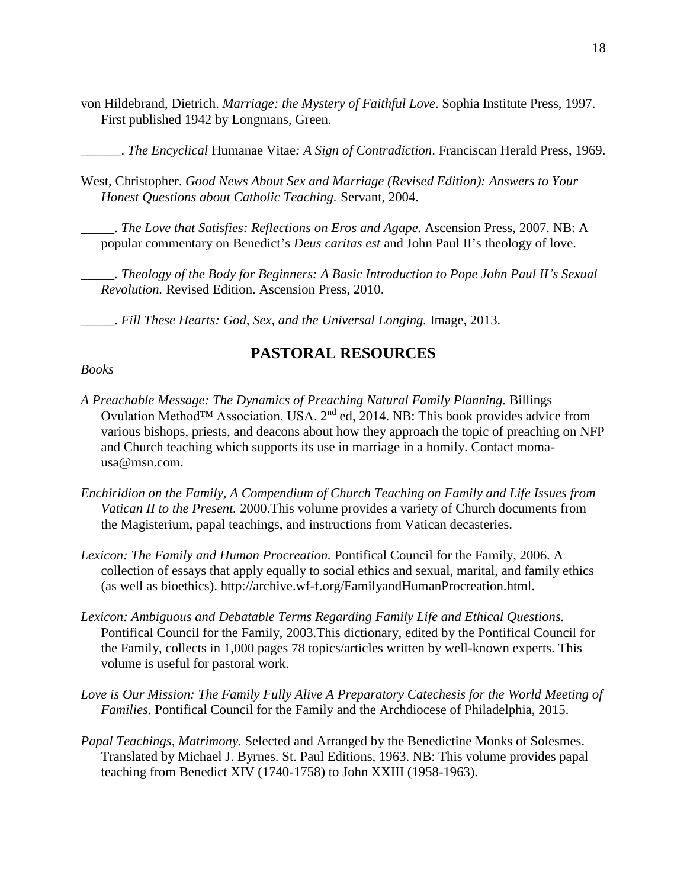von Hildebrand, Dietrich. *Marriage: the Mystery of Faithful Love*. Sophia Institute Press, 1997. First published 1942 by Longmans, Green.

\_\_\_\_\_\_. *The Encyclical* Humanae Vitae*: A Sign of Contradiction*. Franciscan Herald Press, 1969.

West, Christopher. *Good News About Sex and Marriage (Revised Edition): Answers to Your Honest Questions about Catholic Teaching.* Servant, 2004.

\_\_\_\_\_. *The Love that Satisfies: Reflections on Eros and Agape.* Ascension Press, 2007. NB: A popular commentary on Benedict's *Deus caritas est* and John Paul II's theology of love.

\_\_\_\_\_. *Theology of the Body for Beginners: A Basic Introduction to Pope John Paul II's Sexual Revolution.* Revised Edition. Ascension Press, 2010.

\_\_\_\_\_. *Fill These Hearts: God, Sex, and the Universal Longing.* Image, 2013.

# **PASTORAL RESOURCES**

#### *Books*

- *A Preachable Message: The Dynamics of Preaching Natural Family Planning.* Billings Ovulation Method<sup>™</sup> Association, USA. 2<sup>nd</sup> ed, 2014. NB: This book provides advice from various bishops, priests, and deacons about how they approach the topic of preaching on NFP and Church teaching which supports its use in marriage in a homily. Contact momausa@msn.com.
- *Enchiridion on the Family, A Compendium of Church Teaching on Family and Life Issues from Vatican II to the Present.* 2000.This volume provides a variety of Church documents from the Magisterium, papal teachings, and instructions from Vatican decasteries.
- *Lexicon: The Family and Human Procreation.* Pontifical Council for the Family, 2006. A collection of essays that apply equally to social ethics and sexual, marital, and family ethics (as well as bioethics). http://archive.wf-f.org/FamilyandHumanProcreation.html.
- *Lexicon: Ambiguous and Debatable Terms Regarding Family Life and Ethical Questions.* Pontifical Council for the Family, 2003.This dictionary, edited by the Pontifical Council for the Family, collects in 1,000 pages 78 topics/articles written by well-known experts. This volume is useful for pastoral work.
- Love is Our Mission: The Family Fully Alive A Preparatory Catechesis for the World Meeting of *Families*. Pontifical Council for the Family and the Archdiocese of Philadelphia, 2015.
- *Papal Teachings, Matrimony.* Selected and Arranged by the Benedictine Monks of Solesmes. Translated by Michael J. Byrnes. St. Paul Editions, 1963. NB: This volume provides papal teaching from Benedict XIV (1740-1758) to John XXIII (1958-1963).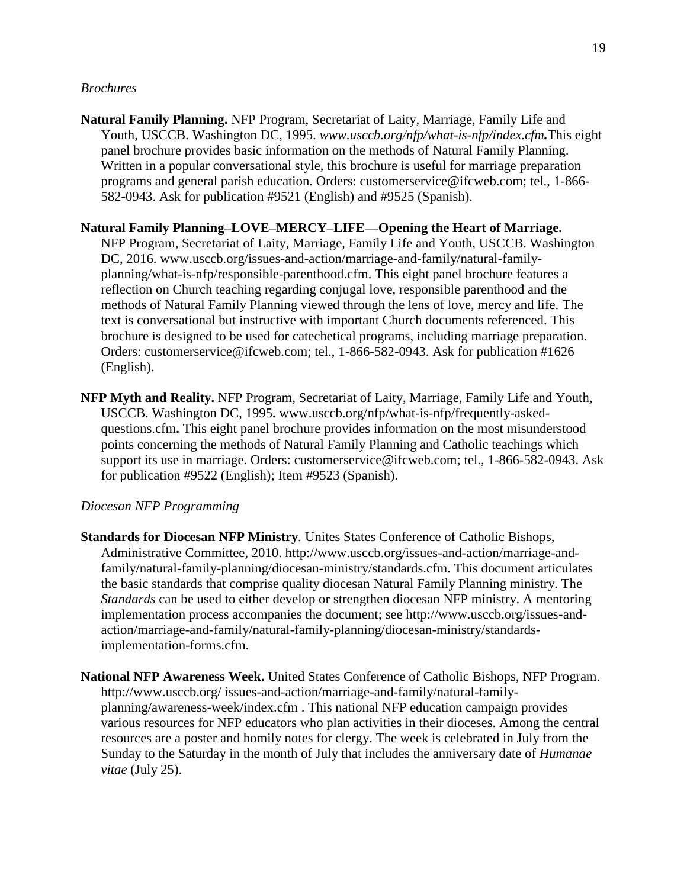#### *Brochures*

**Natural Family Planning.** NFP Program, Secretariat of Laity, Marriage, Family Life and Youth, USCCB. Washington DC, 1995. *[www.usccb.org/nfp/what-is-nfp/index.cfm](http://www.usccb.org/nfp/what-is-nfp/index.cfm).*This eight panel brochure provides basic information on the methods of Natural Family Planning. Written in a popular conversational style, this brochure is useful for marriage preparation programs and general parish education. Orders: customerservice@ifcweb.com; tel., 1-866- 582-0943. Ask for publication #9521 (English) and #9525 (Spanish).

#### **Natural Family Planning–LOVE–MERCY–LIFE—Opening the Heart of Marriage.**

NFP Program, Secretariat of Laity, Marriage, Family Life and Youth, USCCB. Washington DC, 2016. www.usccb.org/issues-and-action/marriage-and-family/natural-familyplanning/what-is-nfp/responsible-parenthood.cfm. This eight panel brochure features a reflection on Church teaching regarding conjugal love, responsible parenthood and the methods of Natural Family Planning viewed through the lens of love, mercy and life. The text is conversational but instructive with important Church documents referenced. This brochure is designed to be used for catechetical programs, including marriage preparation. Orders: customerservice@ifcweb.com; tel., 1-866-582-0943. Ask for publication #1626 (English).

**NFP Myth and Reality.** NFP Program, Secretariat of Laity, Marriage, Family Life and Youth, USCCB. Washington DC, 1995**.** [www.usccb.org/nfp/what-is-nfp/frequently-asked](http://www.usccb.org/nfp/what-is-nfp/frequently-asked-questions.cfm)[questions.cfm](http://www.usccb.org/nfp/what-is-nfp/frequently-asked-questions.cfm)**.** This eight panel brochure provides information on the most misunderstood points concerning the methods of Natural Family Planning and Catholic teachings which support its use in marriage. Orders: customerservice@ifcweb.com; tel., 1-866-582-0943. Ask for publication #9522 (English); Item #9523 (Spanish).

#### *Diocesan NFP Programming*

- **Standards for Diocesan NFP Ministry***.* Unites States Conference of Catholic Bishops, Administrative Committee*,* 2010. http://www.usccb.org/issues-and-action/marriage-andfamily/natural-family-planning/diocesan-ministry/standards.cfm. This document articulates the basic standards that comprise quality diocesan Natural Family Planning ministry. The *Standards* can be used to either develop or strengthen diocesan NFP ministry. A mentoring implementation process accompanies the document; see http://www.usccb.org/issues-andaction/marriage-and-family/natural-family-planning/diocesan-ministry/standardsimplementation-forms.cfm.
- **National NFP Awareness Week.** United States Conference of Catholic Bishops, NFP Program. <http://www.usccb.org/> issues-and-action/marriage-and-family/natural-familyplanning/awareness-week/index.cfm . This national NFP education campaign provides various resources for NFP educators who plan activities in their dioceses. Among the central resources are a poster and homily notes for clergy. The week is celebrated in July from the Sunday to the Saturday in the month of July that includes the anniversary date of *Humanae vitae* (July 25).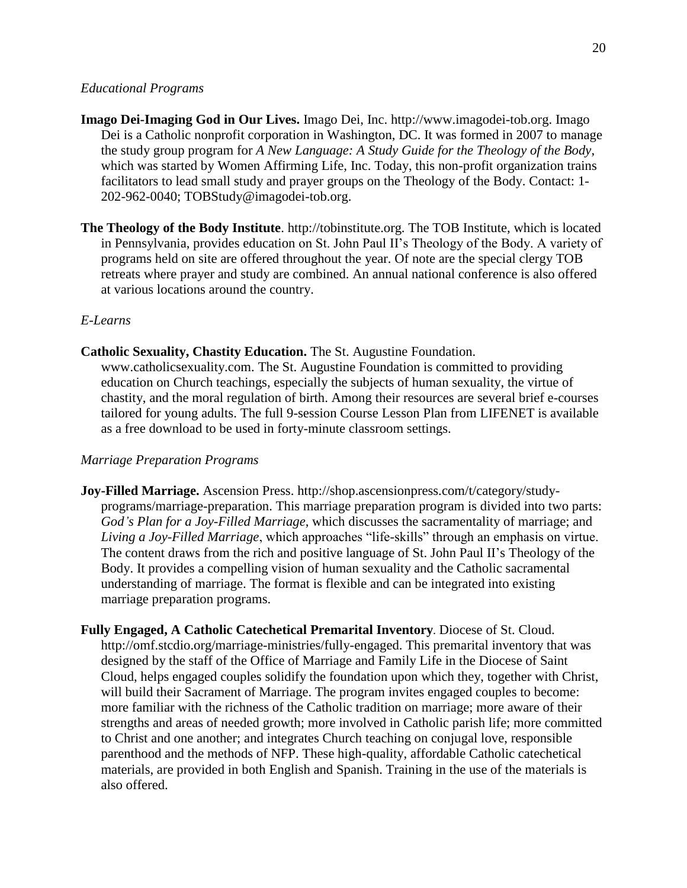#### *Educational Programs*

- **Imago Dei-Imaging God in Our Lives.** Imago Dei, Inc. [http://www.imagodei-tob.org.](http://www.imagodei-tob.org/) Imago Dei is a Catholic nonprofit corporation in Washington, DC. It was formed in 2007 to manage the study group program for *A New Language: A Study Guide for the Theology of the Body*, which was started by Women Affirming Life, Inc. Today, this non-profit organization trains facilitators to lead small study and prayer groups on the Theology of the Body. Contact: 1- 202-962-0040; [TOBStudy@imagodei-tob.org.](mailto:TOBStudy@imagodei-tob.org)
- **The Theology of the Body Institute.** http://tobinstitute.org. The TOB Institute, which is located in Pennsylvania, provides education on St. John Paul II's Theology of the Body. A variety of programs held on site are offered throughout the year. Of note are the special clergy TOB retreats where prayer and study are combined. An annual national conference is also offered at various locations around the country.

#### *E-Learns*

**Catholic Sexuality, Chastity Education.** The St. Augustine Foundation.

www.catholicsexuality.com. The St. Augustine Foundation is committed to providing education on Church teachings, especially the subjects of human sexuality, the virtue of chastity, and the moral regulation of birth. Among their resources are several brief e-courses tailored for young adults. The full 9-session Course Lesson Plan from LIFENET is available as a free download to be used in forty-minute classroom settings.

#### *Marriage Preparation Programs*

**Joy-Filled Marriage.** Ascension Press. http://shop.ascensionpress.com/t/category/studyprograms/marriage-preparation. This marriage preparation program is divided into two parts: *God's Plan for a Joy-Filled Marriage*, which discusses the sacramentality of marriage; and *Living a Joy-Filled Marriage*, which approaches "life-skills" through an emphasis on virtue. The content draws from the rich and positive language of St. John Paul II's Theology of the Body. It provides a compelling vision of human sexuality and the Catholic sacramental understanding of marriage. The format is flexible and can be integrated into existing marriage preparation programs.

**Fully Engaged, A Catholic Catechetical Premarital Inventory***.* Diocese of St. Cloud. http://omf.stcdio.org/marriage-ministries/fully-engaged. This premarital inventory that was designed by the staff of the Office of Marriage and Family Life in the Diocese of Saint Cloud, helps engaged couples solidify the foundation upon which they, together with Christ, will build their Sacrament of Marriage. The program invites engaged couples to become: more familiar with the richness of the Catholic tradition on marriage; more aware of their strengths and areas of needed growth; more involved in Catholic parish life; more committed to Christ and one another; and integrates Church teaching on conjugal love, responsible parenthood and the methods of NFP. These high-quality, affordable Catholic catechetical materials, are provided in both English and Spanish. Training in the use of the materials is also offered.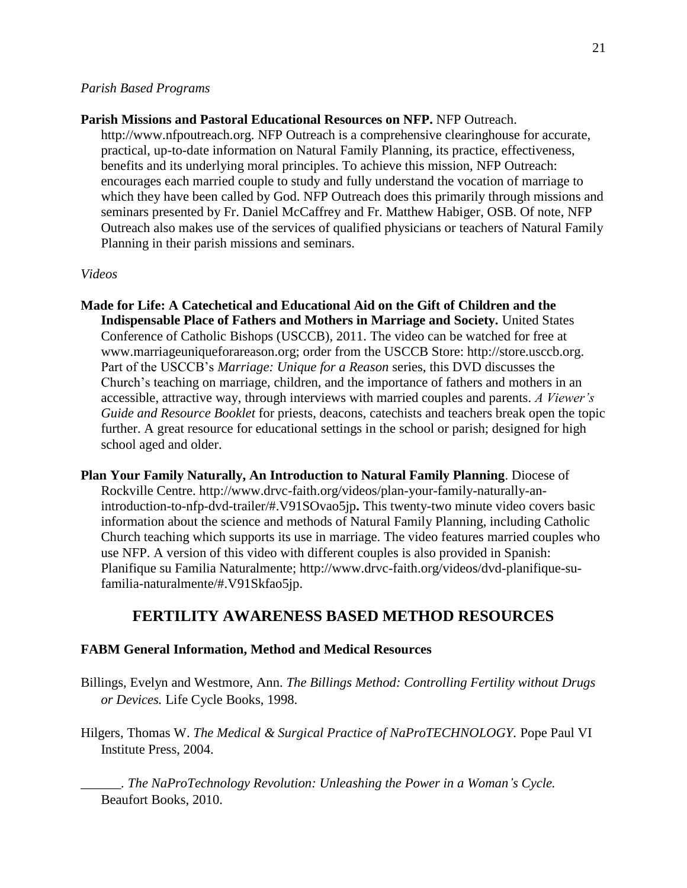#### *Parish Based Programs*

#### **Parish Missions and Pastoral Educational Resources on NFP.** NFP Outreach.

http://www.nfpoutreach.org. NFP Outreach is a comprehensive clearinghouse for accurate, practical, up-to-date information on Natural Family Planning, its practice, effectiveness, benefits and its underlying moral principles. To achieve this mission, NFP Outreach: encourages each married couple to study and fully understand the vocation of marriage to which they have been called by God. NFP Outreach does this primarily through missions and seminars presented by Fr. Daniel McCaffrey and Fr. Matthew Habiger, OSB. Of note, NFP Outreach also makes use of the services of qualified physicians or teachers of Natural Family Planning in their parish missions and seminars.

#### *Videos*

- **Made for Life: A Catechetical and Educational Aid on the Gift of Children and the Indispensable Place of Fathers and Mothers in Marriage and Society.** United States Conference of Catholic Bishops (USCCB), 2011. The video can be watched for free at www.marriageuniqueforareason.org; order from the USCCB Store: http://store.usccb.org. Part of the USCCB's *Marriage: Unique for a Reason* series, this DVD discusses the Church's teaching on marriage, children, and the importance of fathers and mothers in an accessible, attractive way, through interviews with married couples and parents. *A Viewer's Guide and Resource Booklet* for priests, deacons, catechists and teachers break open the topic further. A great resource for educational settings in the school or parish; designed for high school aged and older.
- **Plan Your Family Naturally, An Introduction to Natural Family Planning**. Diocese of Rockville Centre. [http://www.drvc-faith.org/videos/plan-your-family-naturally-an](http://www.drvc-faith.org/videos/plan-your-family-naturally-an-introduction-to-nfp-dvd-trailer/#.V91SOvao5jp)[introduction-to-nfp-dvd-trailer/#.V91SOvao5jp](http://www.drvc-faith.org/videos/plan-your-family-naturally-an-introduction-to-nfp-dvd-trailer/#.V91SOvao5jp)**.** This twenty-two minute video covers basic information about the science and methods of Natural Family Planning, including Catholic Church teaching which supports its use in marriage. The video features married couples who use NFP. A version of this video with different couples is also provided in Spanish: Planifique su Familia Naturalmente; http://www.drvc-faith.org/videos/dvd-planifique-sufamilia-naturalmente/#.V91Skfao5jp.

# **FERTILITY AWARENESS BASED METHOD RESOURCES**

#### **FABM General Information, Method and Medical Resources**

- Billings, Evelyn and Westmore, Ann. *The Billings Method: Controlling Fertility without Drugs or Devices.* Life Cycle Books, 1998.
- Hilgers, Thomas W. *The Medical & Surgical Practice of NaProTECHNOLOGY.* Pope Paul VI Institute Press, 2004.

*\_\_\_\_\_\_. The NaProTechnology Revolution: Unleashing the Power in a Woman's Cycle.*  Beaufort Books, 2010.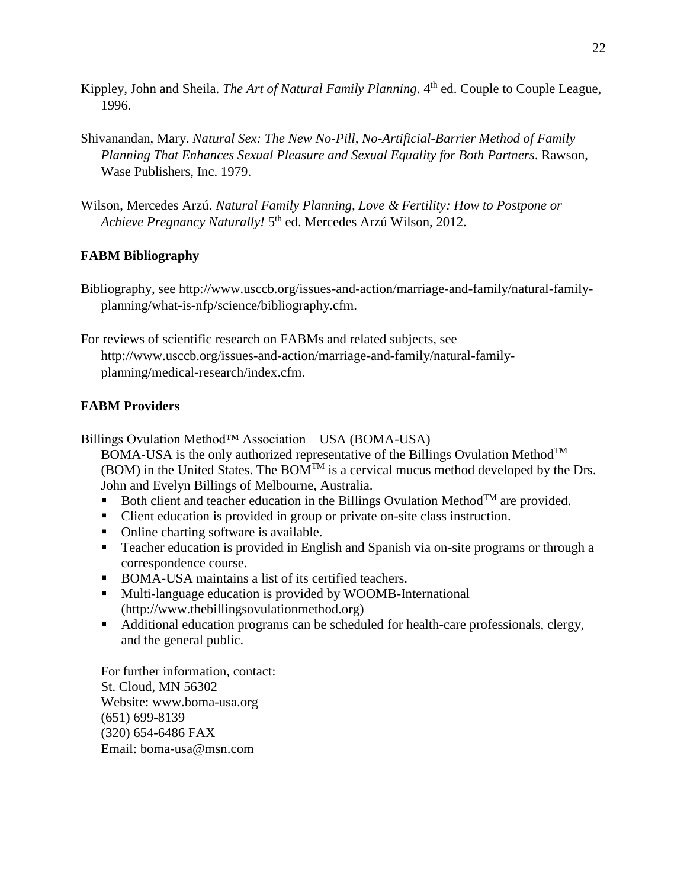- Kippley, John and Sheila. *The Art of Natural Family Planning*. 4<sup>th</sup> ed. Couple to Couple League, 1996.
- Shivanandan, Mary. *Natural Sex: The New No-Pill, No-Artificial-Barrier Method of Family Planning That Enhances Sexual Pleasure and Sexual Equality for Both Partners*. Rawson, Wase Publishers, Inc. 1979.
- Wilson, Mercedes Arzú. *Natural Family Planning, Love & Fertility: How to Postpone or* Achieve Pregnancy Naturally! 5<sup>th</sup> ed. Mercedes Arzú Wilson, 2012.

# **FABM Bibliography**

Bibliography, see http://www.usccb.org/issues-and-action/marriage-and-family/natural-familyplanning/what-is-nfp/science/bibliography.cfm.

For reviews of scientific research on FABMs and related subjects, see http://www.usccb.org/issues-and-action/marriage-and-family/natural-familyplanning/medical-research/index.cfm.

# **FABM Providers**

Billings Ovulation Method™ Association—USA (BOMA-USA)

BOMA-USA is the only authorized representative of the Billings Ovulation Method<sup>TM</sup> (BOM) in the United States. The BOM<sup>TM</sup> is a cervical mucus method developed by the Drs. John and Evelyn Billings of Melbourne, Australia.

- Both client and teacher education in the Billings Ovulation Method<sup>TM</sup> are provided.
- Client education is provided in group or private on-site class instruction.
- Online charting software is available.
- Teacher education is provided in English and Spanish via on-site programs or through a correspondence course.
- BOMA-USA maintains a list of its certified teachers.
- Multi-language education is provided by WOOMB-International [\(http://www.thebillingsovulationmethod.org\)](javascript:showDisclaimer()
- Additional education programs can be scheduled for health-care professionals, clergy, and the general public.

For further information, contact: St. Cloud, MN 56302 Website: [www.boma-usa.org](javascript:showDisclaimer() (651) 699-8139 (320) 654-6486 FAX Email: [boma-usa@msn.com](mailto:boma-usa@msn.com)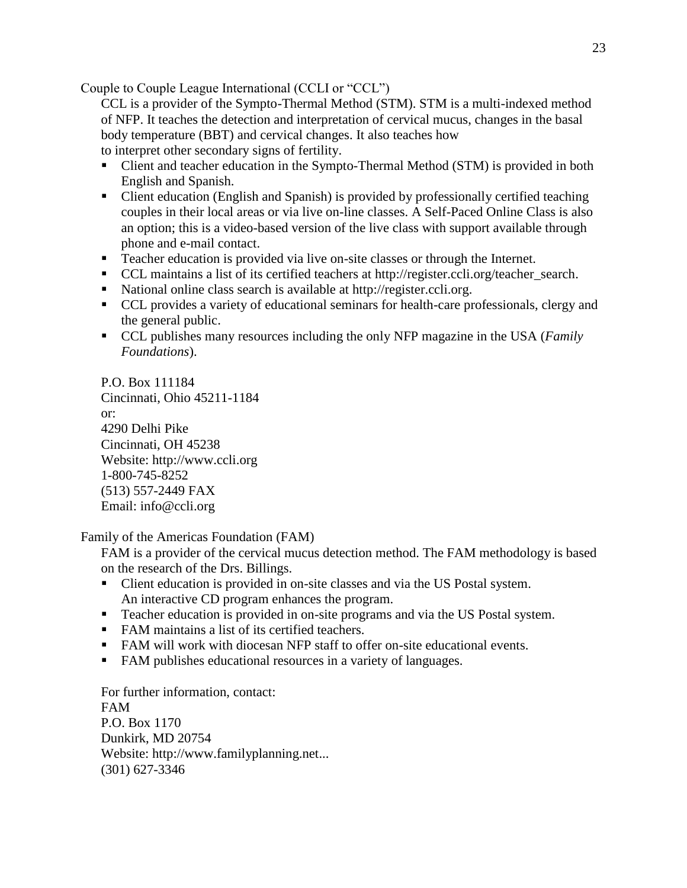Couple to Couple League International (CCLI or "CCL")

CCL is a provider of the Sympto-Thermal Method (STM). STM is a multi-indexed method of NFP. It teaches the detection and interpretation of cervical mucus, changes in the basal body temperature (BBT) and cervical changes. It also teaches how to interpret other secondary signs of fertility.

- Client and teacher education in the Sympto-Thermal Method (STM) is provided in both English and Spanish.
- Client education (English and Spanish) is provided by professionally certified teaching couples in their local areas or via live on-line classes. A Self-Paced Online Class is also an option; this is a video-based version of the live class with support available through phone and e-mail contact.
- Teacher education is provided via live on-site classes or through the Internet.
- CCL maintains a list of its certified teachers at [http://register.ccli.org/teacher\\_search.](javascript:showDisclaimer()
- National online class search is available at [http://register.ccli.org.](javascript:showDisclaimer()
- CCL provides a variety of educational seminars for health-care professionals, clergy and the general public.
- CCL publishes many resources including the only NFP magazine in the USA (*[Family](javascript:showDisclaimer()  [Foundations](javascript:showDisclaimer()*).

P.O. Box 111184 Cincinnati, Ohio 45211-1184 or: 4290 Delhi Pike Cincinnati, OH 45238 Website: [http://www.ccli.org](javascript:showDisclaimer() 1-800-745-8252 (513) 557-2449 FAX Email: [info@ccli.org](mailto:info@ccli.org)

Family of the Americas Foundation (FAM)

FAM is a provider of the cervical mucus detection method. The FAM methodology is based on the research of the Drs. Billings.

- Client education is provided in on-site classes and via the US Postal system. An interactive CD program enhances the program.
- Teacher education is provided in on-site programs and via the US Postal system.
- FAM maintains a list of its certified teachers.
- FAM will work with diocesan NFP staff to offer on-site educational events.
- FAM publishes educational resources in a variety of languages.

For further information, contact: FAM P.O. Box 1170 Dunkirk, MD 20754 Website: [http://www.familyplanning.net.](javascript:showDisclaimer().. (301) 627-3346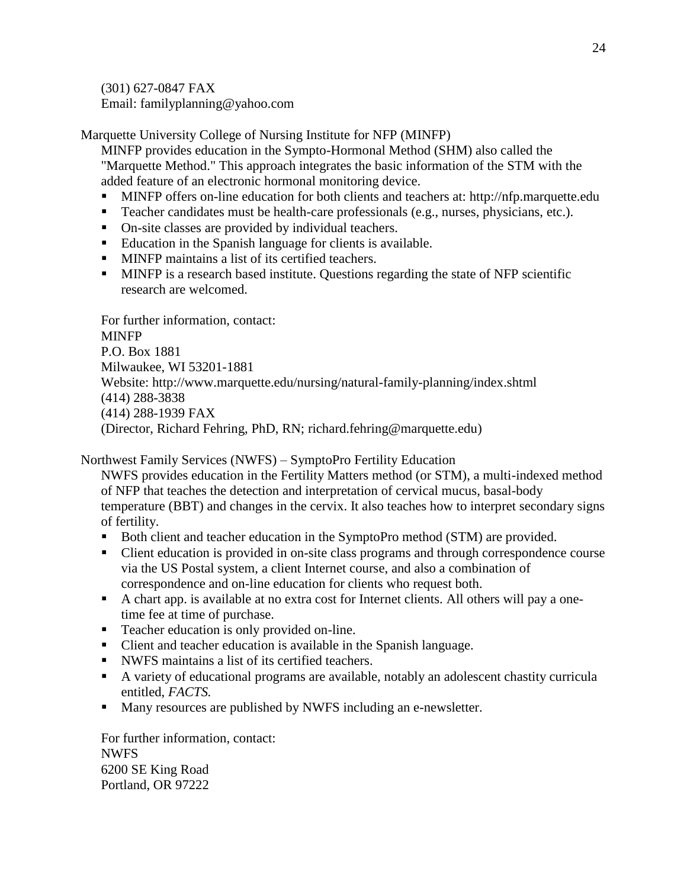(301) 627-0847 FAX Email: [familyplanning@yahoo.com](mailto:familyplanning@yahoo.com)

Marquette University College of Nursing Institute for NFP (MINFP)

MINFP provides education in the Sympto-Hormonal Method (SHM) also called the "Marquette Method." This approach integrates the basic information of the STM with the added feature of an electronic hormonal monitoring device.

- **MINFP** offers on-line education for both clients and teachers at: [http://nfp.marquette.edu](javascript:showDisclaimer()
- Teacher candidates must be health-care professionals (e.g., nurses, physicians, etc.).
- On-site classes are provided by individual teachers.
- Education in the Spanish language for clients is available.
- **MINFP** maintains a list of its certified teachers.
- MINFP is a research based institute. Questions regarding the state of NFP scientific research are welcomed.

For further information, contact: **MINFP** P.O. Box 1881 Milwaukee, WI 53201-1881 Website: [http://www.marquette.edu/nursing/natural-family-planning/index.shtml](javascript:showDisclaimer() (414) 288-3838 (414) 288-1939 FAX (Director, Richard Fehring, PhD, RN; [richard.fehring@marquette.edu\)](mailto:richard.fehring@marquette.edu)

Northwest Family Services (NWFS) – SymptoPro Fertility Education

NWFS provides education in the Fertility Matters method (or STM), a multi-indexed method of NFP that teaches the detection and interpretation of cervical mucus, basal-body temperature (BBT) and changes in the cervix. It also teaches how to interpret secondary signs of fertility.

- Both client and teacher education in the SymptoPro method (STM) are provided.
- Client education is provided in on-site class programs and through correspondence course via the US Postal system, a client Internet course, and also a combination of correspondence and on-line education for clients who request both.
- A chart app. is available at no extra cost for Internet clients. All others will pay a onetime fee at time of purchase.
- Teacher education is only provided on-line.
- Client and teacher education is available in the Spanish language.
- NWFS maintains a list of its certified teachers.
- A variety of educational programs are available, notably an adolescent chastity curricula entitled, *FACTS.*
- Many resources are published by NWFS including an e-newsletter.

For further information, contact: NWFS 6200 SE King Road Portland, OR 97222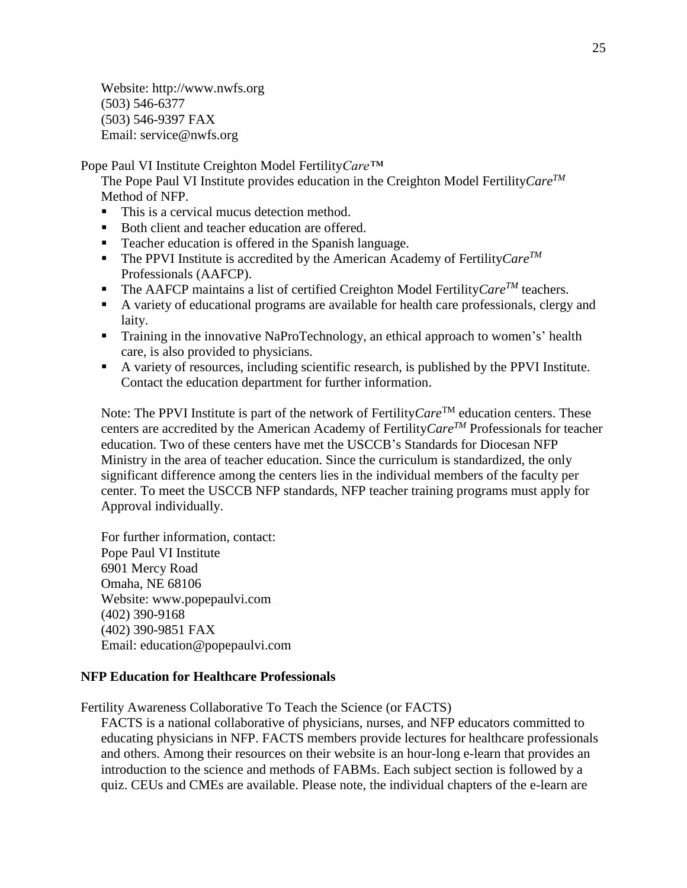Website: [http://www.nwfs.org](javascript:showDisclaimer() (503) 546-6377 (503) 546-9397 FAX Email: [service@nwfs.org](mailto:service@nwfs.org)

Pope Paul VI Institute Creighton Model Fertility*Care™*

The Pope Paul VI Institute provides education in the Creighton Model Fertility*CareTM* Method of NFP.

- This is a cervical mucus detection method.
- Both client and teacher education are offered.
- **Teacher education is offered in the Spanish language.**
- The PPVI Institute is accredited by the American Academy of Fertility  $Care^{TM}$ Professionals (AAFCP).
- The AAFCP maintains a list of certified Creighton Model Fertility *Care<sup>TM</sup>* teachers.
- A variety of educational programs are available for health care professionals, clergy and laity.
- Training in the innovative NaProTechnology, an ethical approach to women's' health care, is also provided to physicians.
- A variety of resources, including scientific research, is published by the PPVI Institute. Contact the education department for further information.

Note: The PPVI Institute is part of the network of Fertility *Care*<sup>TM</sup> education centers. These centers are accredited by the American Academy of Fertility*CareTM* Professionals for teacher education. Two of these centers have met the USCCB's Standards for Diocesan NFP Ministry in the area of teacher education. Since the curriculum is standardized, the only significant difference among the centers lies in the individual members of the faculty per center. To meet the USCCB NFP standards, NFP teacher training programs must apply for Approval individually.

For further information, contact: Pope Paul VI Institute 6901 Mercy Road Omaha, NE 68106 Website: [www.popepaulvi.com](javascript:showDisclaimer() (402) 390-9168 (402) 390-9851 FAX Email: [education@popepaulvi.com](mailto:education@popepaulvi.com)

## **NFP Education for Healthcare Professionals**

Fertility Awareness Collaborative To Teach the Science (or FACTS)

FACTS is a national collaborative of physicians, nurses, and NFP educators committed to educating physicians in NFP. FACTS members provide lectures for healthcare professionals and others. Among their resources on their website is an hour-long e-learn that provides an introduction to the science and methods of FABMs. Each subject section is followed by a quiz. CEUs and CMEs are available. Please note, the individual chapters of the e-learn are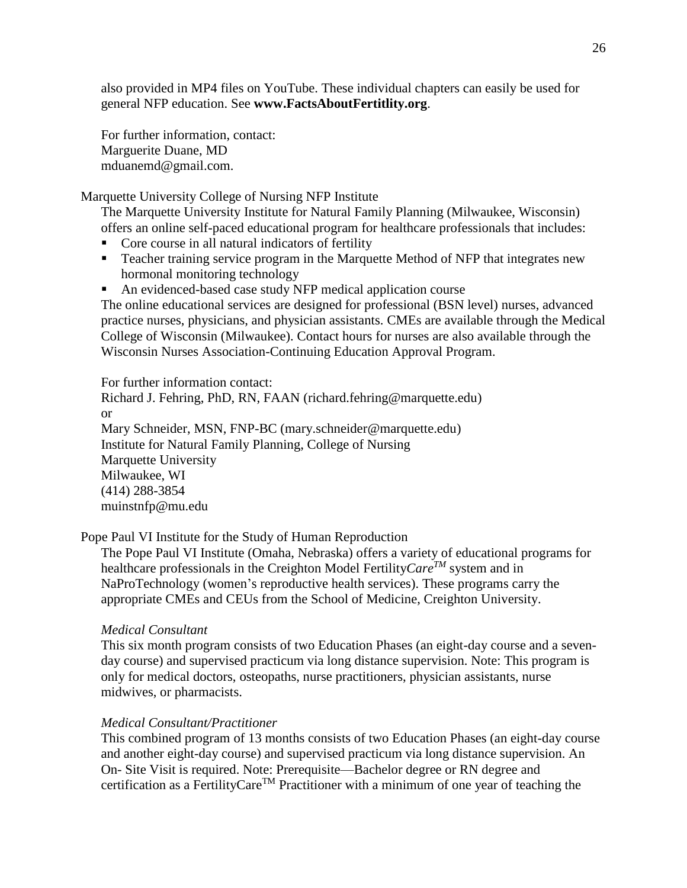also provided in MP4 files on YouTube. These individual chapters can easily be used for general NFP education. See **[www.FactsAboutFertitlity.org](http://www.factsaboutfertitlity.org/)**.

For further information, contact: Marguerite Duane, MD [mduanemd@gmail.com.](mailto:mduanemd@gmail.com)

Marquette University College of Nursing NFP Institute

The Marquette University Institute for Natural Family Planning (Milwaukee, Wisconsin) offers an online self-paced educational program for healthcare professionals that includes:

- Core course in all natural indicators of fertility
- Teacher training service program in the Marquette Method of NFP that integrates new hormonal monitoring technology
- An evidenced-based case study NFP medical application course

The online educational services are designed for professional (BSN level) nurses, advanced practice nurses, physicians, and physician assistants. CMEs are available through the Medical College of Wisconsin (Milwaukee). Contact hours for nurses are also available through the Wisconsin Nurses Association-Continuing Education Approval Program.

For further information contact: Richard J. Fehring, PhD, RN, FAAN [\(richard.fehring@marquette.edu\)](mailto:richard.fehring@marquette.edu) or Mary Schneider, MSN, FNP-BC [\(mary.schneider@marquette.edu\)](mailto:mary.schneider@marquette.edu) Institute for Natural Family Planning, College of Nursing Marquette University Milwaukee, WI (414) 288-3854 [muinstnfp@mu.edu](mailto:muinstnfp@mu.edu)

Pope Paul VI Institute for the Study of Human Reproduction

The Pope Paul VI Institute (Omaha, Nebraska) offers a variety of educational programs for healthcare professionals in the Creighton Model Fertility*CareTM* system and in NaProTechnology (women's reproductive health services). These programs carry the appropriate CMEs and CEUs from the School of Medicine, Creighton University.

## *Medical Consultant*

This six month program consists of two Education Phases (an eight-day course and a sevenday course) and supervised practicum via long distance supervision. Note: This program is only for medical doctors, osteopaths, nurse practitioners, physician assistants, nurse midwives, or pharmacists.

## *Medical Consultant/Practitioner*

This combined program of 13 months consists of two Education Phases (an eight-day course and another eight-day course) and supervised practicum via long distance supervision. An On- Site Visit is required. Note: Prerequisite—Bachelor degree or RN degree and certification as a FertilityCare<sup>TM</sup> Practitioner with a minimum of one year of teaching the